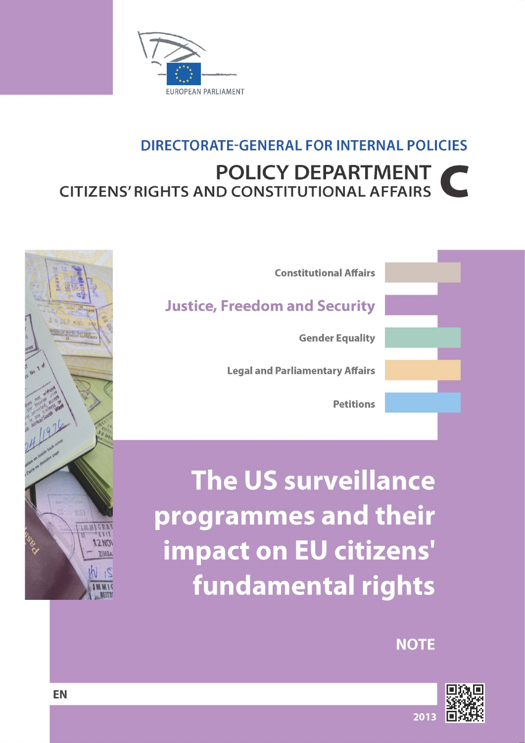

# **DIRECTORATE-GENERAL FOR INTERNAL POLICIES POLICY DEPARTMENT CITIZENS' RIGHTS AND CONSTITUTIONAL AFFAIRS**



The US surveillance programmes and their impact on EU citizens' **fundamental rights** 

**NOTE** 





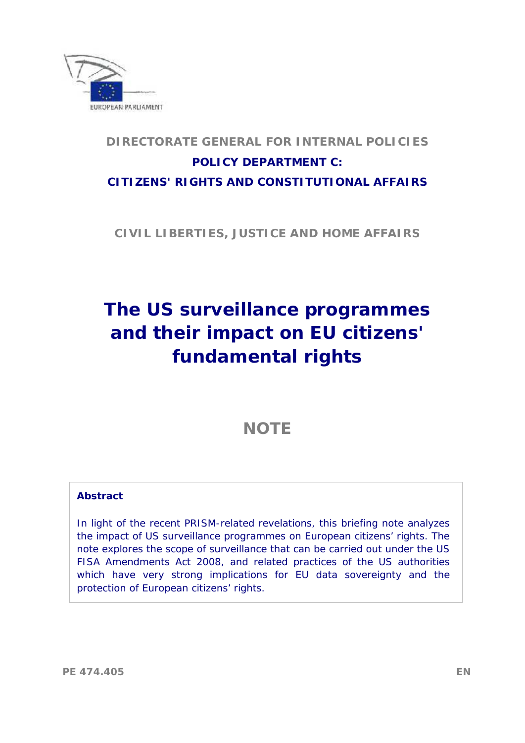

### **CITIZENS' RIGHTS AND CONSTITUTIONAL AFFAIRS DIRECTORATE GENERAL FOR INTERNAL POLICIES POLICY DEPARTMENT C:**

**CIVIL LIBERTIES, JUSTICE AND HOME AFFAIRS** 

# **The US surveillance programmes and their impact on EU citizens' fundamental rights**

## **NOTE**

#### **Abstract**

 In light of the recent PRISM-related revelations, this briefing note analyzes the impact of US surveillance programmes on European citizens' rights. The note explores the scope of surveillance that can be carried out under the US FISA Amendments Act 2008, and related practices of the US authorities which have very strong implications for EU data sovereignty and the protection of European citizens' rights.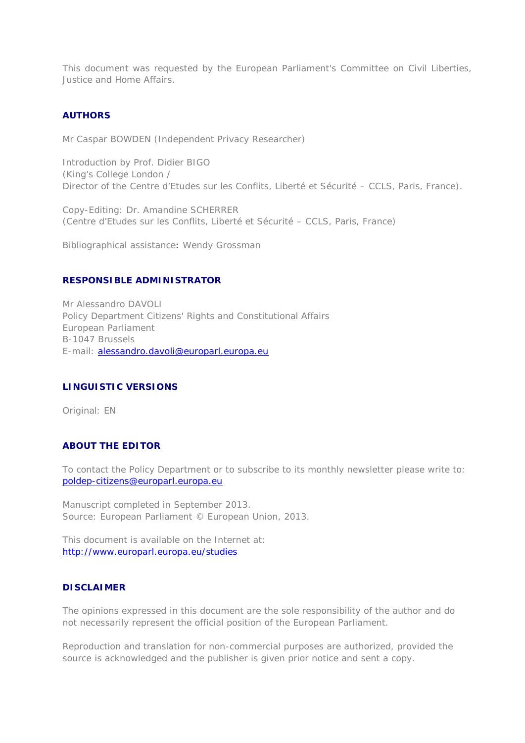This document was requested by the European Parliament's Committee on Civil Liberties, Justice and Home Affairs.

#### **AUTHORS**

Mr Caspar BOWDEN (Independent Privacy Researcher)

 Introduction by Prof. Didier BIGO (King's College London / Director of the Centre d'Etudes sur les Conflits, Liberté et Sécurité – CCLS, Paris, France).

 Copy-Editing: Dr. Amandine SCHERRER *(Centre d'Etudes sur les Conflits, Liberté et Sécurité – CCLS, Paris, France)* 

Bibliographical assistance: Wendy Grossman

#### **RESPONSIBLE ADMINISTRATOR**

 Policy Department Citizens' Rights and Constitutional Affairs Mr Alessandro DAVOLI European Parliament B-1047 Brussels E-mail: alessandro.davoli@europarl.europa.eu

#### **LINGUISTIC VERSIONS**

Original: EN

#### **ABOUT THE EDITOR**

 To contact the Policy Department or to subscribe to its monthly newsletter please write to: poldep-citizens@europarl.europa.eu

 Source: European Parliament © European Union, 2013. Manuscript completed in September 2013.

 This document is available on the Internet at: http://www.europarl.europa.eu/studies

#### **DISCLAIMER**

 The opinions expressed in this document are the sole responsibility of the author and do not necessarily represent the official position of the European Parliament.

 Reproduction and translation for non-commercial purposes are authorized, provided the source is acknowledged and the publisher is given prior notice and sent a copy.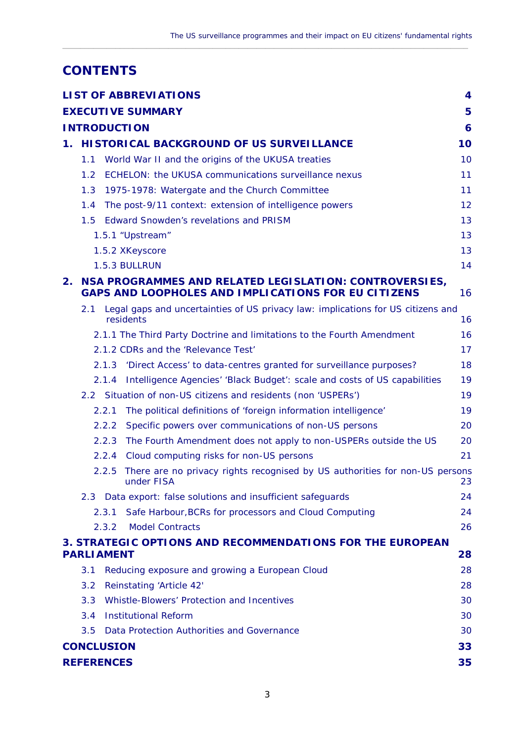$\_$  ,  $\_$  ,  $\_$  ,  $\_$  ,  $\_$  ,  $\_$  ,  $\_$  ,  $\_$  ,  $\_$  ,  $\_$  ,  $\_$  ,  $\_$  ,  $\_$  ,  $\_$  ,  $\_$  ,  $\_$  ,  $\_$  ,  $\_$  ,  $\_$  ,  $\_$  ,  $\_$  ,  $\_$  ,  $\_$  ,  $\_$  ,  $\_$  ,  $\_$  ,  $\_$  ,  $\_$  ,  $\_$  ,  $\_$  ,  $\_$  ,  $\_$  ,  $\_$  ,  $\_$  ,  $\_$  ,  $\_$  ,  $\_$  ,

### **CONTENTS**

|                     |                                                                                                               |       | LIST OF ABBREVIATIONS                                                                     | $\overline{4}$ |
|---------------------|---------------------------------------------------------------------------------------------------------------|-------|-------------------------------------------------------------------------------------------|----------------|
|                     |                                                                                                               |       | <b>EXECUTIVE SUMMARY</b>                                                                  | 5              |
| <b>INTRODUCTION</b> |                                                                                                               |       |                                                                                           | 6              |
| $1_{\odot}$         | HI STORICAL BACKGROUND OF US SURVEILLANCE                                                                     |       |                                                                                           | 10             |
|                     | 1.1                                                                                                           |       | World War II and the origins of the UKUSA treaties                                        | 10             |
|                     | $1.2^{\circ}$                                                                                                 |       | ECHELON: the UKUSA communications surveillance nexus                                      | 11             |
|                     | 1.3                                                                                                           |       | 1975-1978: Watergate and the Church Committee                                             | 11             |
|                     | 1.4                                                                                                           |       | The post-9/11 context: extension of intelligence powers                                   | 12             |
|                     | 1.5                                                                                                           |       | <b>Edward Snowden's revelations and PRISM</b>                                             | 13             |
|                     | 1.5.1 "Upstream"                                                                                              |       |                                                                                           | 13             |
|                     | 1.5.2 XKeyscore                                                                                               |       |                                                                                           | 13             |
|                     |                                                                                                               |       | 1.5.3 BULLRUN                                                                             | 14             |
| 2.                  | NSA PROGRAMMES AND RELATED LEGISLATION: CONTROVERSIES,<br>GAPS AND LOOPHOLES AND IMPLICATIONS FOR EU CITIZENS |       |                                                                                           | 16             |
|                     | 2.1<br>residents                                                                                              |       | Legal gaps and uncertainties of US privacy law: implications for US citizens and          | 16             |
|                     |                                                                                                               |       | 2.1.1 The Third Party Doctrine and limitations to the Fourth Amendment                    | 16             |
|                     | 2.1.2 CDRs and the 'Relevance Test'                                                                           |       |                                                                                           | 17             |
|                     |                                                                                                               | 2.1.3 | 'Direct Access' to data-centres granted for surveillance purposes?                        | 18             |
|                     |                                                                                                               | 2.1.4 | Intelligence Agencies' 'Black Budget': scale and costs of US capabilities                 | 19             |
|                     |                                                                                                               |       | 2.2 Situation of non-US citizens and residents (non 'USPERs')                             | 19             |
|                     |                                                                                                               | 2.2.1 | The political definitions of 'foreign information intelligence'                           | 19             |
|                     |                                                                                                               | 2.2.2 | Specific powers over communications of non-US persons                                     | 20             |
|                     |                                                                                                               | 2.2.3 | The Fourth Amendment does not apply to non-USPERs outside the US                          | 20             |
|                     |                                                                                                               | 2.2.4 | Cloud computing risks for non-US persons                                                  | 21             |
|                     |                                                                                                               | 2.2.5 | There are no privacy rights recognised by US authorities for non-US persons<br>under FISA | 23             |
|                     | 2.3                                                                                                           |       | Data export: false solutions and insufficient safeguards                                  | 24             |
|                     |                                                                                                               | 2.3.1 | Safe Harbour, BCRs for processors and Cloud Computing                                     | 24             |
|                     |                                                                                                               | 2.3.2 | <b>Model Contracts</b>                                                                    | 26             |
|                     | 3. STRATEGIC OPTIONS AND RECOMMENDATIONS FOR THE EUROPEAN<br><b>PARLIAMENT</b>                                |       |                                                                                           | 28             |
|                     | 3.1                                                                                                           |       | Reducing exposure and growing a European Cloud                                            | 28             |
|                     | 3.2                                                                                                           |       | Reinstating 'Article 42'                                                                  | 28             |
|                     | 3.3                                                                                                           |       | <b>Whistle-Blowers' Protection and Incentives</b>                                         | 30             |
|                     | 3.4                                                                                                           |       | <b>Institutional Reform</b>                                                               | 30             |
|                     | 3.5                                                                                                           |       | Data Protection Authorities and Governance                                                | 30             |
|                     | <b>CONCLUSION</b>                                                                                             |       |                                                                                           |                |
|                     | 35<br><b>REFERENCES</b>                                                                                       |       |                                                                                           |                |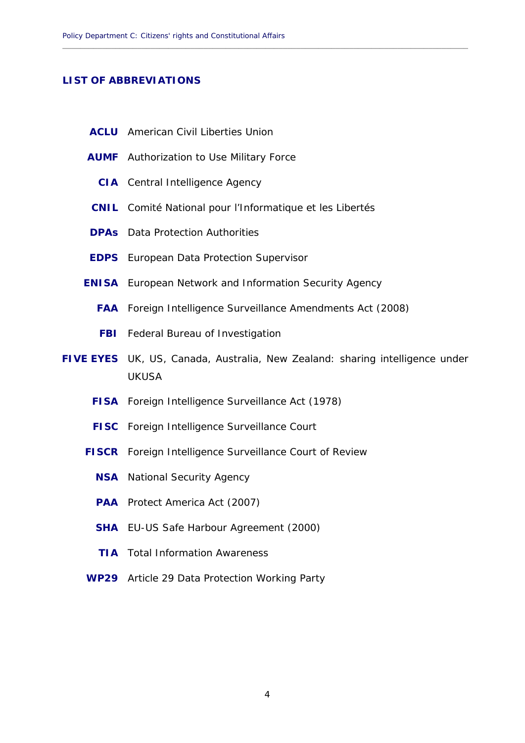#### **LIST OF ABBREVIATIONS**

- **ACLU** American Civil Liberties Union
- **AUMF** Authorization to Use Military Force
	- **CIA** Central Intelligence Agency
- **CNIL** Comité National pour l'Informatique et les Libertés
- **DPAs** Data Protection Authorities
- **EDPS** European Data Protection Supervisor
- **ENISA** European Network and Information Security Agency
	- **FAA** Foreign Intelligence Surveillance Amendments Act (2008)
	- **FBI** Federal Bureau of Investigation
- **FIVE EYES** UK, US, Canada, Australia, New Zealand: sharing intelligence under UKUSA

<span id="page-5-0"></span>**\_\_\_\_\_\_\_\_\_\_\_\_\_\_\_\_\_\_\_\_\_\_\_\_\_\_\_\_\_\_\_\_\_\_\_\_\_\_\_\_\_\_\_\_\_\_\_\_\_\_\_\_\_\_\_\_\_\_\_\_\_\_\_\_\_\_\_\_\_\_\_\_\_\_\_\_\_\_\_\_\_\_\_\_\_\_\_\_\_\_\_\_** 

- **FISA** Foreign Intelligence Surveillance Act (1978)
- **FISC** Foreign Intelligence Surveillance Court
- **FISCR** Foreign Intelligence Surveillance Court of Review
	- **NSA** National Security Agency
	- **PAA** Protect America Act (2007)
	- **SHA** EU-US Safe Harbour Agreement (2000)
	- **TIA** Total Information Awareness
- **WP29** Article 29 Data Protection Working Party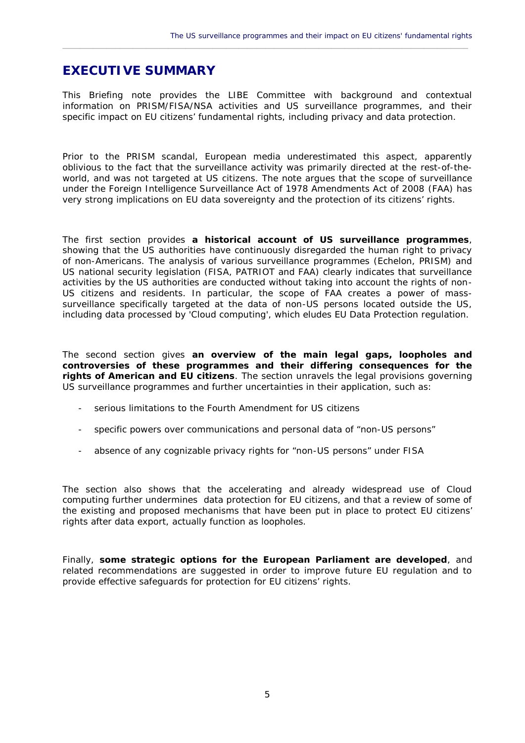### **EXECUTIVE SUMMARY**

 This Briefing note provides the LIBE Committee with background and contextual information on PRISM/FISA/NSA activities and US surveillance programmes, and their specific impact on EU citizens' fundamental rights, including privacy and data protection.

<span id="page-6-0"></span> $\_$  ,  $\_$  ,  $\_$  ,  $\_$  ,  $\_$  ,  $\_$  ,  $\_$  ,  $\_$  ,  $\_$  ,  $\_$  ,  $\_$  ,  $\_$  ,  $\_$  ,  $\_$  ,  $\_$  ,  $\_$  ,  $\_$  ,  $\_$  ,  $\_$  ,  $\_$  ,  $\_$  ,  $\_$  ,  $\_$  ,  $\_$  ,  $\_$  ,  $\_$  ,  $\_$  ,  $\_$  ,  $\_$  ,  $\_$  ,  $\_$  ,  $\_$  ,  $\_$  ,  $\_$  ,  $\_$  ,  $\_$  ,  $\_$  ,

 Prior to the PRISM scandal, European media underestimated this aspect, apparently oblivious to the fact that the surveillance activity was primarily directed at the rest-of-the- world, and was not targeted at US citizens. The note argues that the scope of surveillance  under the *Foreign Intelligence Surveillance Act of 1978 Amendments Act of 2008* (FAA) has very strong implications on EU data sovereignty and the protection of its citizens' rights.

 The first section provides **a historical account of US surveillance programmes**, showing that the US authorities have continuously disregarded the human right to privacy of non-Americans. The analysis of various surveillance programmes (Echelon, PRISM) and US national security legislation (FISA, PATRIOT and FAA) clearly indicates that surveillance activities by the US authorities are conducted without taking into account the rights of non- US citizens and residents. In particular, the scope of FAA creates a power of mass- surveillance specifically targeted at the data of non-US persons located outside the US, including data processed by 'Cloud computing', which eludes EU Data Protection regulation.

 The second section gives **an overview of the main legal gaps, loopholes and controversies of these programmes and their differing consequences for the rights of American and EU citizens**. The section unravels the legal provisions governing US surveillance programmes and further uncertainties in their application, such as:

- serious limitations to the Fourth Amendment for US citizens
- specific powers over communications and personal data of "non-US persons"
- absence of any cognizable privacy rights for "non-US persons" under FISA

 The section also shows that the accelerating and already widespread use of Cloud computing further undermines data protection for EU citizens, and that a review of some of the existing and proposed mechanisms that have been put in place to protect EU citizens' rights after data export, actually function as loopholes.

 Finally, **some strategic options for the European Parliament are developed**, and related recommendations are suggested in order to improve future EU regulation and to provide effective safeguards for protection for EU citizens' rights.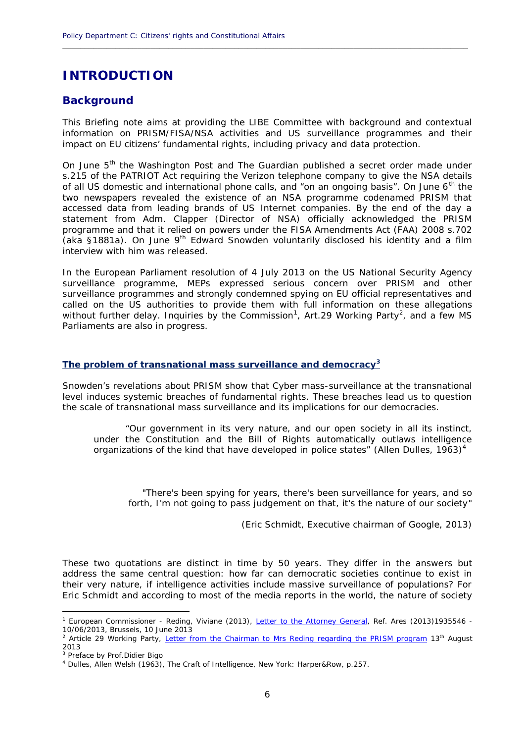### **INTRODUCTION**

#### **Background**

This Briefing note aims at providing the LIBE Committee with background and contextual information on PRISM/FISA/NSA activities and US surveillance programmes and their impact on EU citizens' fundamental rights, including privacy and data protection.

**\_\_\_\_\_\_\_\_\_\_\_\_\_\_\_\_\_\_\_\_\_\_\_\_\_\_\_\_\_\_\_\_\_\_\_\_\_\_\_\_\_\_\_\_\_\_\_\_\_\_\_\_\_\_\_\_\_\_\_\_\_\_\_\_\_\_\_\_\_\_\_\_\_\_\_\_\_\_\_\_\_\_\_\_\_\_\_\_\_\_\_\_**

On June 5th the *Washington Post* and *The Guardian* published a secret order made under s.215 of the PATRIOT Act requiring the Verizon telephone company to give the NSA details of all US domestic and international phone calls, and "on an ongoing basis". On June 6<sup>th</sup> the two newspapers revealed the existence of an NSA programme codenamed PRISM that accessed data from leading brands of US Internet companies. By the end of the day a statement from Adm. Clapper (Director of NSA) officially acknowledged the PRISM programme and that it relied on powers under the FISA Amendments Act (FAA) 2008 s.702 (aka §1881a). On June 9th Edward Snowden voluntarily disclosed his identity and a film interview with him was released.

In the European Parliament resolution of 4 July 2013 on the US National Security Agency surveillance programme, MEPs expressed serious concern over PRISM and other surveillance programmes and strongly condemned spying on EU official representatives and called on the US authorities to provide them with full information on these allegations without further delay. Inquiries by the Commission $^1$ , Art.29 Working Party $^2$ , and a few MS Parliaments are also in progress.

#### **The problem of transnational mass surveillance and democracy<sup>3</sup>**

Snowden's revelations about PRISM show that Cyber mass-surveillance at the transnational level induces systemic breaches of fundamental rights. These breaches lead us to question the scale of transnational mass surveillance and its implications for our democracies.

*"Our government in its very nature, and our open society in all its instinct, under the Constitution and the Bill of Rights automatically outlaws intelligence organizations of the kind that have developed in police states"* (Allen Dulles, 1963)<sup>4</sup>

"*There's been spying for years, there's been surveillance for years, and so forth, I'm not going to pass judgement on that, it's the nature of our society*"

(Eric Schmidt, Executive chairman of Google, 2013)

These two quotations are distinct in time by 50 years. They differ in the answers but address the same central question: how far can democratic societies continue to exist in their very nature, if intelligence activities include massive surveillance of populations? For Eric Schmidt and according to most of the media reports in the world, the nature of society

<sup>&</sup>lt;sup>1</sup> European Commissioner - Reding, Viviane (2013), Letter to the Attorney General, Ref. Ares (2013)1935546 -10/06/2013, Brussels, 10 June 2013

Article 29 Working Party, Letter from the Chairman to Mrs Reding regarding the PRISM program 13<sup>th</sup> August 2013

 $3$  Preface by Prof. Didier Bigo

<sup>4</sup> Dulles, Allen Welsh (1963), The Craft of Intelligence, New York: Harper&Row, p.257.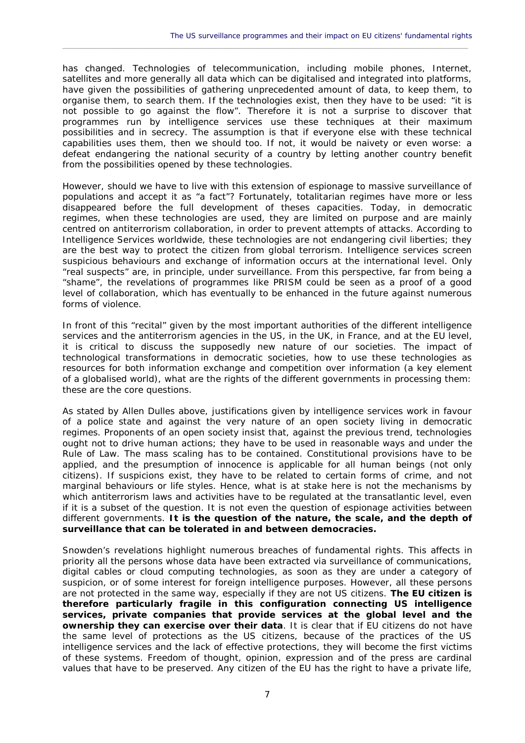has changed. Technologies of telecommunication, including mobile phones, Internet, satellites and more generally all data which can be digitalised and integrated into platforms, have given the possibilities of gathering unprecedented amount of data, to keep them, to organise them, to search them. If the technologies exist, then they have to be used: "it is not possible to go against the flow". Therefore it is not a surprise to discover that programmes run by intelligence services use these techniques at their maximum possibilities and in secrecy. The assumption is that if everyone else with these technical capabilities uses them, then we should too. If not, it would be naivety or even worse: a defeat endangering the national security of a country by letting another country benefit from the possibilities opened by these technologies.

 $\_$  ,  $\_$  ,  $\_$  ,  $\_$  ,  $\_$  ,  $\_$  ,  $\_$  ,  $\_$  ,  $\_$  ,  $\_$  ,  $\_$  ,  $\_$  ,  $\_$  ,  $\_$  ,  $\_$  ,  $\_$  ,  $\_$  ,  $\_$  ,  $\_$  ,  $\_$  ,  $\_$  ,  $\_$  ,  $\_$  ,  $\_$  ,  $\_$  ,  $\_$  ,  $\_$  ,  $\_$  ,  $\_$  ,  $\_$  ,  $\_$  ,  $\_$  ,  $\_$  ,  $\_$  ,  $\_$  ,  $\_$  ,  $\_$  ,

However, should we have to live with this extension of espionage to massive surveillance of populations and accept it as "a fact"? Fortunately, totalitarian regimes have more or less disappeared before the full development of theses capacities. Today, in democratic regimes, when these technologies are used, they are limited on purpose and are mainly centred on antiterrorism collaboration, in order to prevent attempts of attacks. According to Intelligence Services worldwide, these technologies are not endangering civil liberties; they are the best way to protect the citizen from global terrorism. Intelligence services screen suspicious behaviours and exchange of information occurs at the international level. Only "real suspects" are, in principle, under surveillance. From this perspective, far from being a "shame", the revelations of programmes like PRISM could be seen as a proof of a good level of collaboration, which has eventually to be enhanced in the future against numerous forms of violence.

In front of this "recital" given by the most important authorities of the different intelligence services and the antiterrorism agencies in the US, in the UK, in France, and at the EU level, it is critical to discuss the supposedly new nature of our societies. The impact of technological transformations in democratic societies, how to use these technologies as resources for both information exchange and competition over information (a key element of a globalised world), what are the rights of the different governments in processing them: these are the core questions.

As stated by Allen Dulles above, justifications given by intelligence services work in favour of a police state and against the very nature of an open society living in democratic regimes. Proponents of an open society insist that, against the previous trend, technologies ought not to drive human actions; they have to be used in reasonable ways and under the Rule of Law. The mass scaling has to be contained. Constitutional provisions have to be applied, and the presumption of innocence is applicable for all human beings (not only citizens). If suspicions exist, they have to be related to certain forms of crime, and not marginal behaviours or life styles. Hence, what is at stake here is not the mechanisms by which antiterrorism laws and activities have to be regulated at the transatlantic level, even if it is a subset of the question. It is not even the question of espionage activities between different governments. **It is the question of the nature, the scale, and the depth of surveillance that can be tolerated in and between democracies.**

Snowden's revelations highlight numerous breaches of fundamental rights. This affects in priority all the persons whose data have been extracted via surveillance of communications, digital cables or cloud computing technologies, as soon as they are under a category of suspicion, or of some interest for foreign intelligence purposes. However, all these persons are not protected in the same way, especially if they are not US citizens. **The EU citizen is therefore particularly fragile in this configuration connecting US intelligence services, private companies that provide services at the global level and the ownership they can exercise over their data**. It is clear that if EU citizens do not have the same level of protections as the US citizens, because of the practices of the US intelligence services and the lack of effective protections, they will become the first victims of these systems. Freedom of thought, opinion, expression and of the press are cardinal values that have to be preserved. Any citizen of the EU has the right to have a private life,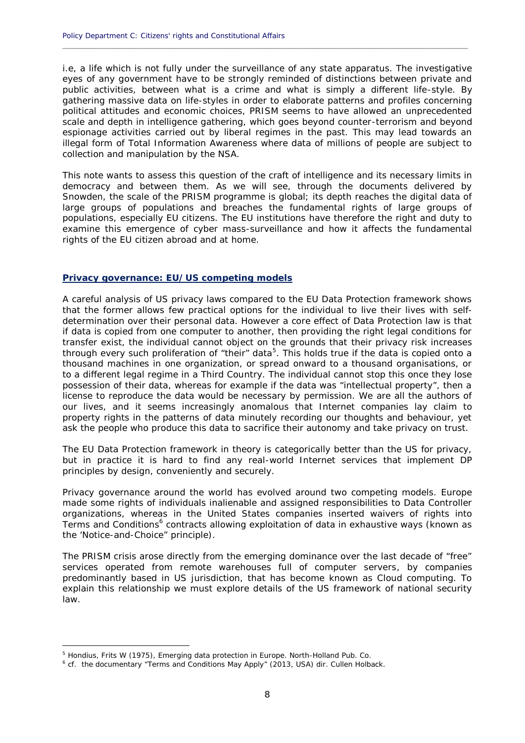i.e, a life which is not fully under the surveillance of any state apparatus. The investigative eyes of any government have to be strongly reminded of distinctions between private and public activities, between what is a crime and what is simply a different life-style. By gathering massive data on life-styles in order to elaborate patterns and profiles concerning political attitudes and economic choices, PRISM seems to have allowed an unprecedented scale and depth in intelligence gathering, which goes beyond counter-terrorism and beyond espionage activities carried out by liberal regimes in the past. This may lead towards an illegal form of Total Information Awareness where data of millions of people are subject to collection and manipulation by the NSA.

**\_\_\_\_\_\_\_\_\_\_\_\_\_\_\_\_\_\_\_\_\_\_\_\_\_\_\_\_\_\_\_\_\_\_\_\_\_\_\_\_\_\_\_\_\_\_\_\_\_\_\_\_\_\_\_\_\_\_\_\_\_\_\_\_\_\_\_\_\_\_\_\_\_\_\_\_\_\_\_\_\_\_\_\_\_\_\_\_\_\_\_\_**

This note wants to assess this question of the craft of intelligence and its necessary limits in democracy and between them. As we will see, through the documents delivered by Snowden, the scale of the PRISM programme is global; its depth reaches the digital data of large groups of populations and breaches the fundamental rights of large groups of populations, especially EU citizens. The EU institutions have therefore the right and duty to examine this emergence of cyber mass-surveillance and how it affects the fundamental rights of the EU citizen abroad and at home.

#### **Privacy governance: EU/US competing models**

A careful analysis of US privacy laws compared to the EU Data Protection framework shows that the former allows few practical options for the individual to live their lives with self determination over their personal data. However a core effect of Data Protection law is that if data is copied from one computer to another, then providing the right legal conditions for transfer exist, the individual cannot object on the grounds that their privacy risk increases through every such proliferation of "their" data<sup>5</sup>. This holds true if the data is copied onto a thousand machines in one organization, or spread onward to a thousand organisations, or to a different legal regime in a Third Country. The individual cannot stop this once they lose possession of their data, whereas for example if the data was "intellectual property", then a license to reproduce the data would be necessary by permission. We are all the authors of our lives, and it seems increasingly anomalous that Internet companies lay claim to property rights in the patterns of data minutely recording our thoughts and behaviour, yet ask the people who produce this data to sacrifice their autonomy and take privacy on trust.

The EU Data Protection framework in theory is categorically better than the US for privacy, but in practice it is hard to find any real-world Internet services that implement DP principles by design, conveniently and securely.

Privacy governance around the world has evolved around two competing models. Europe made some rights of individuals inalienable and assigned responsibilities to Data Controller organizations, whereas in the United States companies inserted waivers of rights into Terms and Conditions<sup>6</sup> contracts allowing exploitation of data in exhaustive ways (known as the 'Notice-and-Choice" principle).

The PRISM crisis arose directly from the emerging dominance over the last decade of "free" services operated from remote warehouses full of computer servers, by companies predominantly based in US jurisdiction, that has become known as Cloud computing. To explain this relationship we must explore details of the US framework of national security law.

<sup>&</sup>lt;sup>5</sup> Hondius, Frits W (1975), Emerging data protection in Europe. North-Holland Pub. Co.

 $6$  cf. the documentary "Terms and Conditions May Apply" (2013, USA) dir. Cullen Holback.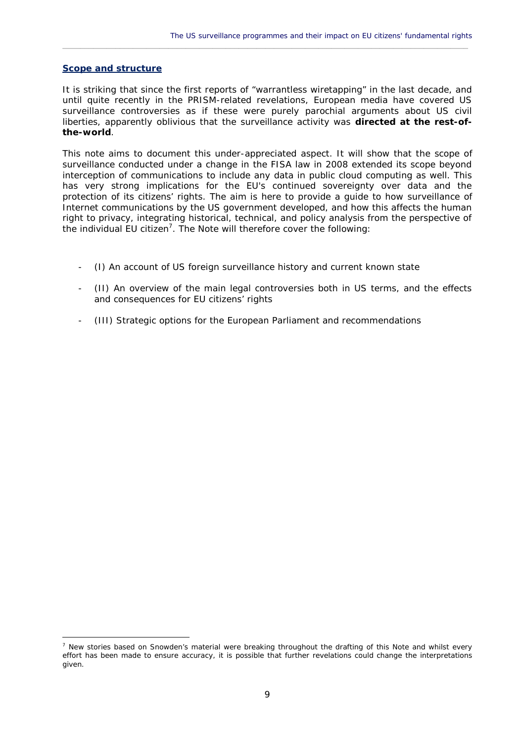#### **Scope and structure**

It is striking that since the first reports of "warrantless wiretapping" in the last decade, and until quite recently in the PRISM-related revelations, European media have covered US surveillance controversies as if these were purely parochial arguments about US civil liberties, apparently oblivious that the surveillance activity was **directed at the rest-ofthe-world**.

 $\_$  ,  $\_$  ,  $\_$  ,  $\_$  ,  $\_$  ,  $\_$  ,  $\_$  ,  $\_$  ,  $\_$  ,  $\_$  ,  $\_$  ,  $\_$  ,  $\_$  ,  $\_$  ,  $\_$  ,  $\_$  ,  $\_$  ,  $\_$  ,  $\_$  ,  $\_$  ,  $\_$  ,  $\_$  ,  $\_$  ,  $\_$  ,  $\_$  ,  $\_$  ,  $\_$  ,  $\_$  ,  $\_$  ,  $\_$  ,  $\_$  ,  $\_$  ,  $\_$  ,  $\_$  ,  $\_$  ,  $\_$  ,  $\_$  ,

This note aims to document this under-appreciated aspect. It will show that the scope of surveillance conducted under a change in the FISA law in 2008 extended its scope beyond interception of communications to include any data in public cloud computing as well. This has very strong implications for the EU's continued sovereignty over data and the protection of its citizens' rights. The aim is here to provide a guide to how surveillance of Internet communications by the US government developed, and how this affects the human right to privacy, integrating historical, technical, and policy analysis from the perspective of the individual EU citizen<sup>7</sup>. The Note will therefore cover the following:

- (I) An account of US foreign surveillance history and current known state
- (II) An overview of the main legal controversies both in US terms, and the effects and consequences for EU citizens' rights
- (III) Strategic options for the European Parliament and recommendations

 $<sup>7</sup>$  New stories based on Snowden's material were breaking throughout the drafting of this Note and whilst every</sup> effort has been made to ensure accuracy, it is possible that further revelations could change the interpretations given.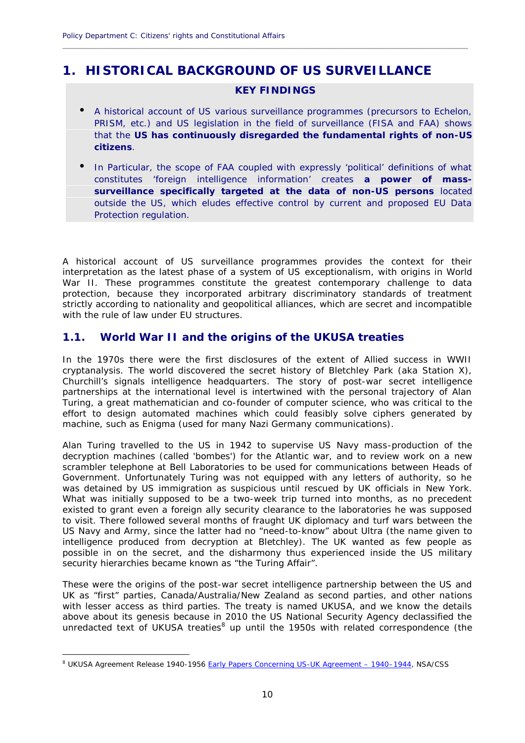### **1. HISTORICAL BACKGROUND OF US SURVEILLANCE**

#### **KEY FINDINGS**

**\_\_\_\_\_\_\_\_\_\_\_\_\_\_\_\_\_\_\_\_\_\_\_\_\_\_\_\_\_\_\_\_\_\_\_\_\_\_\_\_\_\_\_\_\_\_\_\_\_\_\_\_\_\_\_\_\_\_\_\_\_\_\_\_\_\_\_\_\_\_\_\_\_\_\_\_\_\_\_\_\_\_\_\_\_\_\_\_\_\_\_\_**

- $\tilde{N}$  A historical account of US various surveillance programmes (precursors to Echelon, PRISM, etc.) and US legislation in the field of surveillance (FISA and FAA) shows that the **US has continuously disregarded the fundamental rights of non-US citizens**.
- In Particular, the scope of FAA coupled with expressly 'political' definitions of what constitutes '*foreign intelligence information*' creates **a power of mass surveillance specifically targeted at the data of non-US persons** located outside the US, which eludes effective control by current and proposed EU Data Protection regulation.

A historical account of US surveillance programmes provides the context for their interpretation as the latest phase of a system of US exceptionalism, with origins in World War II. These programmes constitute the greatest contemporary challenge to data protection, because they incorporated arbitrary discriminatory standards of treatment strictly according to nationality and geopolitical alliances, which are secret and incompatible with the rule of law under EU structures.

#### **1.1. World War II and the origins of the UKUSA treaties**

In the 1970s there were the first disclosures of the extent of Allied success in WWII cryptanalysis. The world discovered the secret history of Bletchley Park (aka Station X), Churchill's signals intelligence headquarters. The story of post-war secret intelligence partnerships at the international level is intertwined with the personal trajectory of Alan Turing, a great mathematician and co-founder of computer science, who was critical to the effort to design automated machines which could feasibly solve ciphers generated by machine, such as Enigma (used for many Nazi Germany communications).

Alan Turing travelled to the US in 1942 to supervise US Navy mass-production of the decryption machines (called 'bombes') for the Atlantic war, and to review work on a new scrambler telephone at Bell Laboratories to be used for communications between Heads of Government. Unfortunately Turing was not equipped with any letters of authority, so he was detained by US immigration as suspicious until rescued by UK officials in New York. What was initially supposed to be a two-week trip turned into months, as no precedent existed to grant even a foreign ally security clearance to the laboratories he was supposed to visit. There followed several months of fraught UK diplomacy and turf wars between the US Navy and Army, since the latter had no "need-to-know" about Ultra (the name given to intelligence produced from decryption at Bletchley). The UK wanted as few people as possible in on the secret, and the disharmony thus experienced inside the US military security hierarchies became known as "the Turing Affair".

These were the origins of the post-war secret intelligence partnership between the US and UK as "first" parties, Canada/Australia/New Zealand as second parties, and other nations with lesser access as third parties. The treaty is named UKUSA, and we know the details above about its genesis because in 2010 the US National Security Agency declassified the unredacted text of UKUSA treaties<sup>8</sup> up until the 1950s with related correspondence (the

<sup>&</sup>lt;sup>8</sup> UKUSA Agreement Release 1940-1956 Early Papers Concerning US-UK Agreement - 1940-1944, NSA/CSS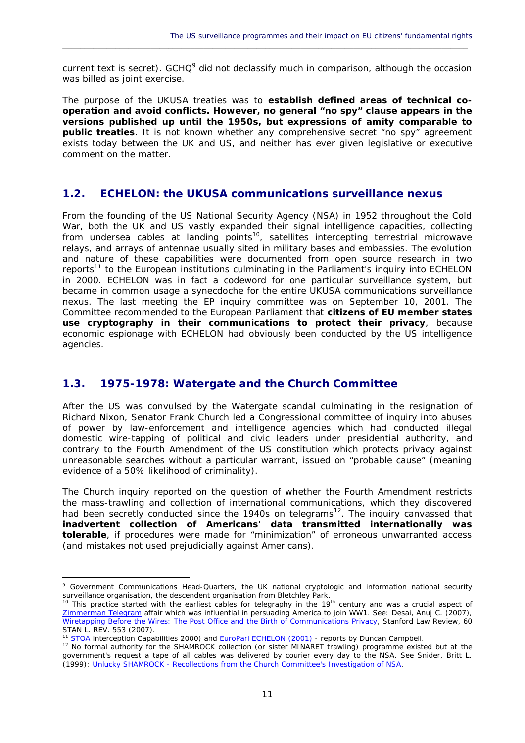current text is secret). GCHQ<sup>9</sup> did not declassify much in comparison, although the occasion was billed as joint exercise.

 $\_$  ,  $\_$  ,  $\_$  ,  $\_$  ,  $\_$  ,  $\_$  ,  $\_$  ,  $\_$  ,  $\_$  ,  $\_$  ,  $\_$  ,  $\_$  ,  $\_$  ,  $\_$  ,  $\_$  ,  $\_$  ,  $\_$  ,  $\_$  ,  $\_$  ,  $\_$  ,  $\_$  ,  $\_$  ,  $\_$  ,  $\_$  ,  $\_$  ,  $\_$  ,  $\_$  ,  $\_$  ,  $\_$  ,  $\_$  ,  $\_$  ,  $\_$  ,  $\_$  ,  $\_$  ,  $\_$  ,  $\_$  ,  $\_$  ,

The purpose of the UKUSA treaties was to **establish defined areas of technical co operation and avoid conflicts. However, no general "no spy" clause appears in the versions published up until the 1950s, but expressions of amity comparable to public treaties**. It is not known whether any comprehensive secret "no spy" agreement exists today between the UK and US, and neither has ever given legislative or executive comment on the matter.

#### **1.2. ECHELON: the UKUSA communications surveillance nexus**

From the founding of the US National Security Agency (NSA) in 1952 throughout the Cold War, both the UK and US vastly expanded their signal intelligence capacities, collecting from undersea cables at landing points<sup>10</sup>, satellites intercepting terrestrial microwave relays, and arrays of antennae usually sited in military bases and embassies. The evolution and nature of these capabilities were documented from open source research in two reports<sup>11</sup> to the European institutions culminating in the Parliament's inquiry into ECHELON in 2000. ECHELON was in fact a codeword for one particular surveillance system, but became in common usage a synecdoche for the entire UKUSA communications surveillance nexus. The last meeting the EP inquiry committee was on September 10, 2001. The Committee recommended to the European Parliament that **citizens of EU member states use cryptography in their communications to protect their privacy**, because economic espionage with ECHELON had obviously been conducted by the US intelligence agencies.

#### **1.3. 1975-1978: Watergate and the Church Committee**

After the US was convulsed by the Watergate scandal culminating in the resignation of Richard Nixon, Senator Frank Church led a Congressional committee of inquiry into abuses of power by law-enforcement and intelligence agencies which had conducted illegal domestic wire-tapping of political and civic leaders under presidential authority, and contrary to the Fourth Amendment of the US constitution which protects privacy against unreasonable searches without a particular warrant, issued on "probable cause" (meaning evidence of a 50% likelihood of criminality).

The Church inquiry reported on the question of whether the Fourth Amendment restricts the mass-trawling and collection of international communications, which they discovered had been secretly conducted since the 1940s on telegrams<sup>12</sup>. The inquiry canvassed that **inadvertent collection of Americans' data transmitted internationally was tolerable**, if procedures were made for "minimization" of erroneous unwarranted access (and mistakes not used prejudicially against Americans).

<sup>9</sup> Government Communications Head-Quarters, the UK national cryptologic and information national security surveillance organisation, the descendent organisation from Bletchley Park.

<sup>&</sup>lt;sup>10</sup> This practice started with the earliest cables for telegraphy in the 19<sup>th</sup> century and was a crucial aspect of Zimmerman Telegram affair which was influential in persuading America to join WW1. See: Desai, Anuj C. (2007), Wiretapping Before the Wires: The Post Office and the Birth of Communications Privacy, Stanford Law Review, 60 STAN L. REV. 553 (2007).

STOA interception Capabilities 2000) and EuroParl ECHELON (2001) - reports by Duncan Campbell.

<sup>&</sup>lt;sup>12</sup> No formal authority for the SHAMROCK collection (or sister MINARET trawling) programme existed but at the government's request a tape of all cables was delivered by courier every day to the NSA. See Snider, Britt L. (1999): Unlucky SHAMROCK - Recollections from the Church Committee's Investigation of NSA.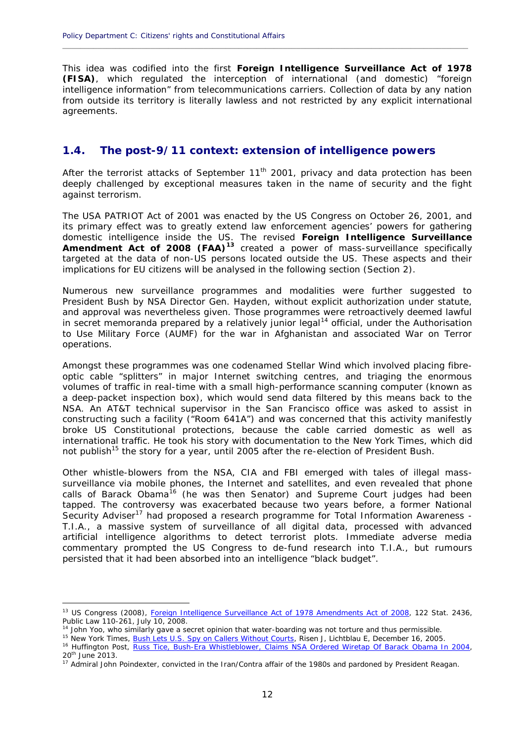This idea was codified into the first **Foreign Intelligence Surveillance Act of 1978 (FISA)**, which regulated the interception of international (and domestic) "foreign intelligence information" from telecommunications carriers. Collection of data by any nation from outside its territory is literally lawless and not restricted by any explicit international agreements.

**\_\_\_\_\_\_\_\_\_\_\_\_\_\_\_\_\_\_\_\_\_\_\_\_\_\_\_\_\_\_\_\_\_\_\_\_\_\_\_\_\_\_\_\_\_\_\_\_\_\_\_\_\_\_\_\_\_\_\_\_\_\_\_\_\_\_\_\_\_\_\_\_\_\_\_\_\_\_\_\_\_\_\_\_\_\_\_\_\_\_\_\_**

#### **1.4. The post-9/11 context: extension of intelligence powers**

After the terrorist attacks of September  $11<sup>th</sup>$  2001, privacy and data protection has been deeply challenged by exceptional measures taken in the name of security and the fight against terrorism.

The USA PATRIOT Act of 2001 was enacted by the US Congress on October 26, 2001, and its primary effect was to greatly extend law enforcement agencies' powers for gathering domestic intelligence inside the US. The revised **Foreign Intelligence Surveillance Amendment Act of 2008 (FAA)<sup>13</sup>** created a power of mass-surveillance specifically targeted at the data of non-US persons located outside the US. These aspects and their implications for EU citizens will be analysed in the following section (Section 2).

Numerous new surveillance programmes and modalities were further suggested to President Bush by NSA Director Gen. Hayden, without explicit authorization under statute, and approval was nevertheless given. Those programmes were retroactively deemed lawful in secret memoranda prepared by a relatively junior legal<sup>14</sup> official, under the Authorisation *to Use Military Force* (AUMF) for the war in Afghanistan and associated War on Terror operations.

Amongst these programmes was one codenamed *Stellar Wind* which involved placing fibre optic cable "splitters" in major Internet switching centres, and triaging the enormous volumes of traffic in real-time with a small high-performance scanning computer (known as a deep-packet inspection box), which would send data filtered by this means back to the NSA. An AT&T technical supervisor in the San Francisco office was asked to assist in constructing such a facility ("Room 641A") and was concerned that this activity manifestly broke US Constitutional protections, because the cable carried domestic as well as international traffic. He took his story with documentation to the *New York Times*, which did not publish<sup>15</sup> the story for a year, until 2005 after the re-election of President Bush.

Other whistle-blowers from the NSA, CIA and FBI emerged with tales of illegal mass surveillance via mobile phones, the Internet and satellites, and even revealed that phone calls of Barack Obama<sup>16</sup> (he was then Senator) and Supreme Court judges had been tapped. The controversy was exacerbated because two years before, a former National Security Adviser<sup>17</sup> had proposed a research programme for Total Information Awareness -T.I.A., a massive system of surveillance of all digital data, processed with advanced artificial intelligence algorithms to detect terrorist plots. Immediate adverse media commentary prompted the US Congress to de-fund research into T.I.A., but rumours persisted that it had been absorbed into an intelligence "black budget".

<sup>&</sup>lt;sup>13</sup> US Congress (2008), Foreign Intelligence Surveillance Act of 1978 Amendments Act of 2008, 122 Stat. 2436, Public Law 110-261, July 10, 2008.

John Yoo, who similarly gave a secret opinion that water-boarding was not torture and thus permissible.

<sup>&</sup>lt;sup>15</sup> New York Times, **Bush Lets U.S. Spy on Callers Without Courts**, Risen J, Lichtblau E, December 16, 2005. <sup>16</sup> Huffington Post, Russ Tice, Bush-Era Whistleblower, Claims NSA Ordered Wiretap Of Barack Obama In 2004,

<sup>20</sup>th June 2013.

 $17$  Admiral John Poindexter, convicted in the Iran/Contra affair of the 1980s and pardoned by President Reagan.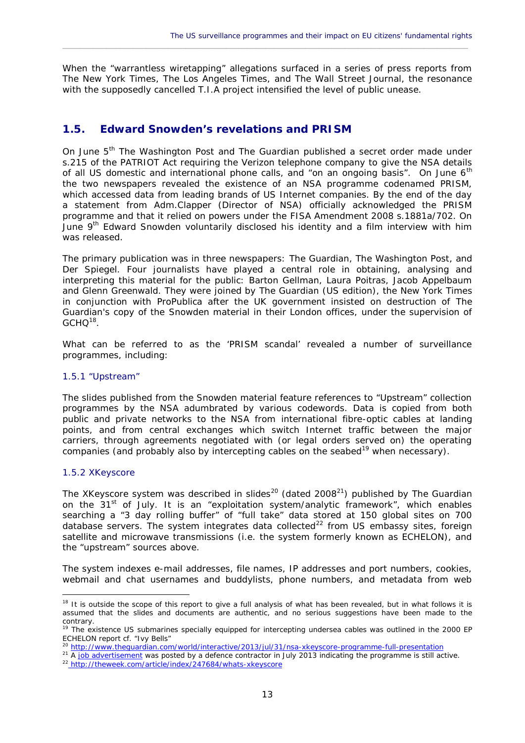When the "warrantless wiretapping" allegations surfaced in a series of press reports from *The New York Times*, *The Los Angeles Times*, and *The Wall Street Journal*, the resonance with the supposedly cancelled T.I.A project intensified the level of public unease.

 $\_$  ,  $\_$  ,  $\_$  ,  $\_$  ,  $\_$  ,  $\_$  ,  $\_$  ,  $\_$  ,  $\_$  ,  $\_$  ,  $\_$  ,  $\_$  ,  $\_$  ,  $\_$  ,  $\_$  ,  $\_$  ,  $\_$  ,  $\_$  ,  $\_$  ,  $\_$  ,  $\_$  ,  $\_$  ,  $\_$  ,  $\_$  ,  $\_$  ,  $\_$  ,  $\_$  ,  $\_$  ,  $\_$  ,  $\_$  ,  $\_$  ,  $\_$  ,  $\_$  ,  $\_$  ,  $\_$  ,  $\_$  ,  $\_$  ,

#### **1.5. Edward Snowden's revelations and PRISM**

On June 5th *The Washington Post* and *The Guardian* published a secret order made under s.215 of the PATRIOT Act requiring the Verizon telephone company to give the NSA details of all US domestic and international phone calls, and "on an ongoing basis". On June 6<sup>th</sup> the two newspapers revealed the existence of an NSA programme codenamed PRISM, which accessed data from leading brands of US Internet companies. By the end of the day a statement from Adm.Clapper (Director of NSA) officially acknowledged the PRISM programme and that it relied on powers under the FISA Amendment 2008 s.1881a/702. On June 9<sup>th</sup> Edward Snowden voluntarily disclosed his identity and a film interview with him was released.

The primary publication was in three newspapers: *The Guardian*, *The Washington Post*, and *Der Spiegel*. Four journalists have played a central role in obtaining, analysing and interpreting this material for the public: Barton Gellman, Laura Poitras, Jacob Appelbaum and Glenn Greenwald. They were joined by *The Guardian* (US edition), the *New York Times* in conjunction with *ProPublica* after the UK government insisted on destruction of *The Guardian*'s copy of the Snowden material in their London offices, under the supervision of  $GCHO^{18}$ . .

What can be referred to as the 'PRISM scandal' revealed a number of surveillance programmes, including:

#### 1.5.1 "Upstream"

The slides published from the Snowden material feature references to "Upstream" collection programmes by the NSA adumbrated by various codewords. Data is copied from both public and private networks to the NSA from international fibre-optic cables at landing points, and from central exchanges which switch Internet traffic between the major carriers, through agreements negotiated with (or legal orders served on) the operating companies (and probably also by intercepting cables on the seabed<sup>19</sup> when necessary).

#### 1.5.2 XKeyscore

The XKeyscore system was described in slides<sup>20</sup> (dated 2008<sup>21</sup>) published by The Guardian on the 31<sup>st</sup> of July. It is an "exploitation system/analytic framework", which enables searching a "3 day rolling buffer" of "full take" data stored at 150 global sites on 700 database servers. The system integrates data collected<sup>22</sup> from US embassy sites, foreign satellite and microwave transmissions (i.e. the system formerly known as ECHELON), and the "upstream" sources above.

The system indexes e-mail addresses, file names, IP addresses and port numbers, cookies, webmail and chat usernames and buddylists, phone numbers, and metadata from web

<sup>&</sup>lt;sup>18</sup> It is outside the scope of this report to give a full analysis of what has been revealed, but in what follows it is assumed that the slides and documents are authentic, and no serious suggestions have been made to the contrary.

<sup>&</sup>lt;sup>19</sup> The existence US submarines specially equipped for intercepting undersea cables was outlined in the 2000 EP ECHELON report cf. "Ivy Bells"

<sup>&</sup>lt;sup>20</sup> http://www.theguardian.com/world/interactive/2013/jul/31/nsa-xkeyscore-programme-full-presentation

<sup>&</sup>lt;sup>21</sup> A job advertisement was posted by a defence contractor in July 2013 indicating the programme is still active.

<sup>22</sup> http://theweek.com/article/index/247684/whats-xkeyscore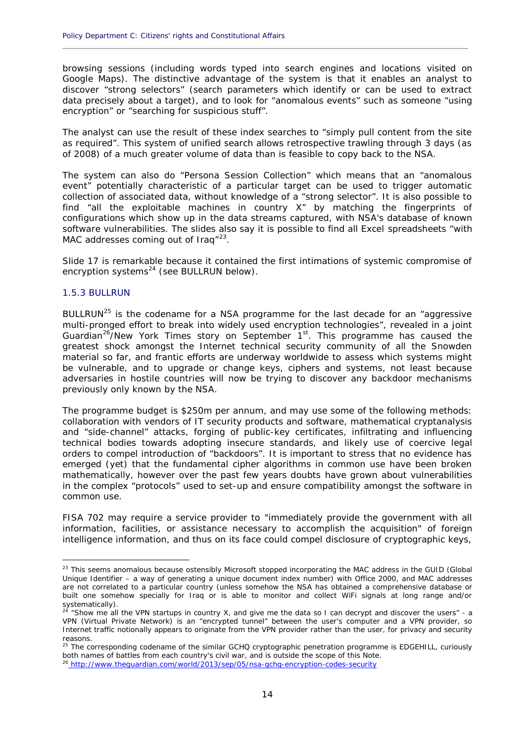browsing sessions (including words typed into search engines and locations visited on Google Maps). The distinctive advantage of the system is that it enables an analyst to discover "strong selectors" (search parameters which identify or can be used to extract data precisely about a target), and to look for "anomalous events" such as someone "using encryption" or "searching for suspicious stuff".

**\_\_\_\_\_\_\_\_\_\_\_\_\_\_\_\_\_\_\_\_\_\_\_\_\_\_\_\_\_\_\_\_\_\_\_\_\_\_\_\_\_\_\_\_\_\_\_\_\_\_\_\_\_\_\_\_\_\_\_\_\_\_\_\_\_\_\_\_\_\_\_\_\_\_\_\_\_\_\_\_\_\_\_\_\_\_\_\_\_\_\_\_**

The analyst can use the result of these index searches to "simply pull content from the site as required". This system of unified search allows retrospective trawling through 3 days (as of 2008) of a much greater volume of data than is feasible to copy back to the NSA.

The system can also do "Persona Session Collection" which means that an "anomalous event" potentially characteristic of a particular target can be used to trigger automatic collection of associated data, without knowledge of a "strong selector". It is also possible to find "all the exploitable machines in country X" by matching the fingerprints of configurations which show up in the data streams captured, with NSA's database of known software vulnerabilities. The slides also say it is possible to find all Excel spreadsheets "with MAC addresses coming out of Iraq"<sup>23</sup>.

Slide 17 is remarkable because it contained the first intimations of systemic compromise of encryption systems<sup>24</sup> (see BULLRUN below).

#### 1.5.3 BULLRUN

BULLRUN<sup>25</sup> is the codename for a NSA programme for the last decade for an "aggressive multi-pronged effort to break into widely used encryption technologies", revealed in a joint *Guardian*<sup>26</sup>/*New York Times* story on September 1st. This programme has caused the greatest shock amongst the Internet technical security community of all the Snowden material so far, and frantic efforts are underway worldwide to assess which systems might be vulnerable, and to upgrade or change keys, ciphers and systems, not least because adversaries in hostile countries will now be trying to discover any backdoor mechanisms previously only known by the NSA.

The programme budget is \$250m per annum, and may use some of the following methods: collaboration with vendors of IT security products and software, mathematical cryptanalysis and "side-channel" attacks, forging of public-key certificates, infiltrating and influencing technical bodies towards adopting insecure standards, and likely use of coercive legal orders to compel introduction of "backdoors". It is important to stress that no evidence has emerged (yet) that the fundamental cipher algorithms in common use have been broken mathematically, however over the past few years doubts have grown about vulnerabilities in the complex "protocols" used to set-up and ensure compatibility amongst the software in common use.

FISA 702 may require a service provider to *"immediately provide the government with all information, facilities, or assistance necessary to accomplish the acquisition"* of foreign intelligence information, and thus on its face could compel disclosure of cryptographic keys,

<sup>&</sup>lt;sup>23</sup> This seems anomalous because ostensibly Microsoft stopped incorporating the MAC address in the GUID (Global Unique Identifier – a way of generating a unique document index number) with Office 2000, and MAC addresses are not correlated to a particular country (unless somehow the NSA has obtained a comprehensive database or built one somehow specially for Iraq or is able to monitor and collect WiFi signals at long range and/or systematically).

<sup>&</sup>lt;sup>24</sup> "Show me all the VPN startups in country X, and give me the data so I can decrypt and discover the users" - a VPN (Virtual Private Network) is an "encrypted tunnel" between the user's computer and a VPN provider, so Internet traffic notionally appears to originate from the VPN provider rather than the user, for privacy and security reasons.

<sup>&</sup>lt;sup>25</sup> The corresponding codename of the similar GCHQ cryptographic penetration programme is EDGEHILL, curiously both names of battles from each country's civil war, and is outside the scope of this Note.

<sup>&</sup>lt;sup>5</sup> http://www.theguardian.com/world/2013/sep/05/nsa-gchq-encryption-codes-security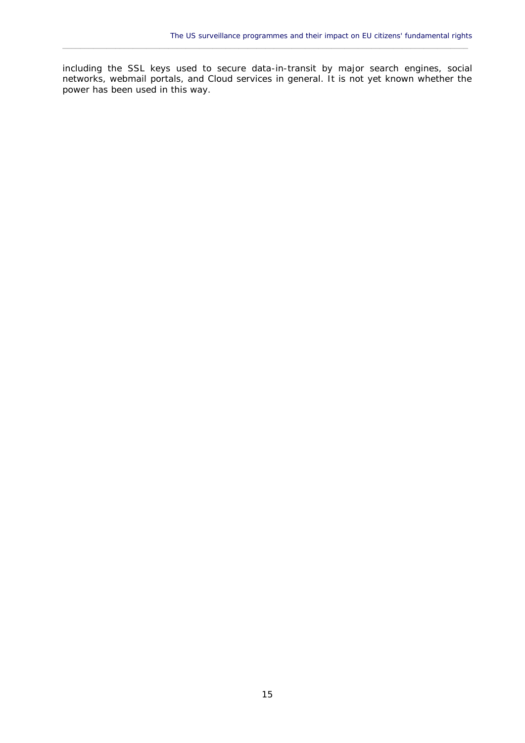including the SSL keys used to secure data-in-transit by major search engines, social networks, webmail portals, and Cloud services in general. It is not yet known whether the power has been used in this way.

 $\_$  ,  $\_$  ,  $\_$  ,  $\_$  ,  $\_$  ,  $\_$  ,  $\_$  ,  $\_$  ,  $\_$  ,  $\_$  ,  $\_$  ,  $\_$  ,  $\_$  ,  $\_$  ,  $\_$  ,  $\_$  ,  $\_$  ,  $\_$  ,  $\_$  ,  $\_$  ,  $\_$  ,  $\_$  ,  $\_$  ,  $\_$  ,  $\_$  ,  $\_$  ,  $\_$  ,  $\_$  ,  $\_$  ,  $\_$  ,  $\_$  ,  $\_$  ,  $\_$  ,  $\_$  ,  $\_$  ,  $\_$  ,  $\_$  ,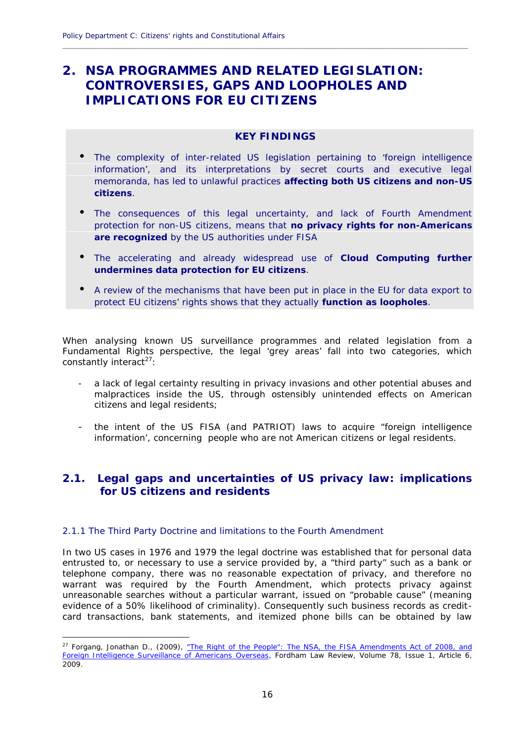### **2. NSA PROGRAMMES AND RELATED LEGISLATION: CONTROVERSIES, GAPS AND LOOPHOLES AND IMPLICATIONS FOR EU CITIZENS**

#### **KEY FINDINGS**

**\_\_\_\_\_\_\_\_\_\_\_\_\_\_\_\_\_\_\_\_\_\_\_\_\_\_\_\_\_\_\_\_\_\_\_\_\_\_\_\_\_\_\_\_\_\_\_\_\_\_\_\_\_\_\_\_\_\_\_\_\_\_\_\_\_\_\_\_\_\_\_\_\_\_\_\_\_\_\_\_\_\_\_\_\_\_\_\_\_\_\_\_**

- N The complexity of inter-related US legislation pertaining to 'foreign intelligence information', and its interpretations by secret courts and executive legal memoranda, has led to unlawful practices **affecting both US citizens and non-US citizens**.
- N The consequences of this legal uncertainty, and lack of Fourth Amendment protection for non-US citizens, means that **no privacy rights for non-Americans are recognized** by the US authorities under FISA
- The accelerating and already widespread use of **Cloud Computing further undermines data protection for EU citizens**.
- $N$  A review of the mechanisms that have been put in place in the EU for data export to protect EU citizens' rights shows that they actually **function as loopholes**.

When analysing known US surveillance programmes and related legislation from a Fundamental Rights perspective, the legal 'grey areas' fall into two categories, which constantly interact $^{27}$ :

- a lack of legal certainty resulting in privacy invasions and other potential abuses and malpractices inside the US, through ostensibly unintended effects on American citizens and legal residents;
- the intent of the US FISA (and PATRIOT) laws to acquire "foreign intelligence information', concerning people who are not American citizens or legal residents.

#### **2.1. Legal gaps and uncertainties of US privacy law: implications for US citizens and residents**

#### 2.1.1 The Third Party Doctrine and limitations to the Fourth Amendment

In two US cases in 1976 and 1979 the legal doctrine was established that for personal data entrusted to, or necessary to use a service provided by, a "third party" such as a bank or telephone company, there was no reasonable expectation of privacy, and therefore no warrant was required by the Fourth Amendment, which protects privacy against unreasonable searches without a particular warrant, issued on "probable cause" (meaning evidence of a 50% likelihood of criminality). Consequently such business records as credit card transactions, bank statements, and itemized phone bills can be obtained by law

<sup>&</sup>lt;sup>27</sup> Forgang, Jonathan D., (2009), "The Right of the People": The NSA, the FISA Amendments Act of 2008, and Foreign Intelligence Surveillance of Americans Overseas, Fordham Law Review, Volume 78, Issue 1, Article 6, 2009.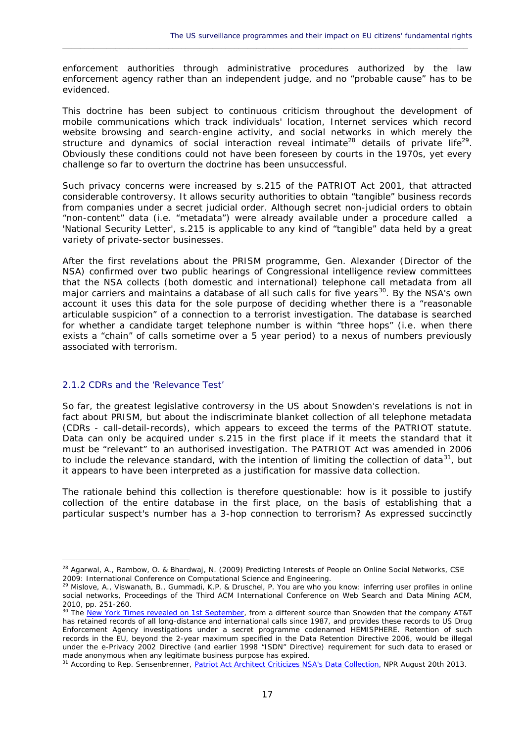enforcement authorities through administrative procedures authorized by the law enforcement agency rather than an independent judge, and no "probable cause" has to be evidenced.

 $\_$  ,  $\_$  ,  $\_$  ,  $\_$  ,  $\_$  ,  $\_$  ,  $\_$  ,  $\_$  ,  $\_$  ,  $\_$  ,  $\_$  ,  $\_$  ,  $\_$  ,  $\_$  ,  $\_$  ,  $\_$  ,  $\_$  ,  $\_$  ,  $\_$  ,  $\_$  ,  $\_$  ,  $\_$  ,  $\_$  ,  $\_$  ,  $\_$  ,  $\_$  ,  $\_$  ,  $\_$  ,  $\_$  ,  $\_$  ,  $\_$  ,  $\_$  ,  $\_$  ,  $\_$  ,  $\_$  ,  $\_$  ,  $\_$  ,

This doctrine has been subject to continuous criticism throughout the development of mobile communications which track individuals' location, Internet services which record website browsing and search-engine activity, and social networks in which merely the structure and dynamics of social interaction reveal intimate<sup>28</sup> details of private life<sup>29</sup>. Obviously these conditions could not have been foreseen by courts in the 1970s, yet every challenge so far to overturn the doctrine has been unsuccessful.

Such privacy concerns were increased by s.215 of the PATRIOT Act 2001, that attracted considerable controversy. It allows security authorities to obtain "tangible" business records from companies under a secret judicial order. Although secret *non*-judicial orders to obtain "non-content" data (i.e. "metadata") were already available under a procedure called a 'National Security Letter', s.215 is applicable to any kind of "tangible" data held by a great variety of private-sector businesses.

After the first revelations about the PRISM programme, Gen. Alexander (Director of the NSA) confirmed over two public hearings of Congressional intelligence review committees that the NSA collects (both domestic and international) telephone call metadata from all major carriers and maintains a database of all such calls for five years<sup>30</sup>. By the NSA's own account it uses this data for the sole purpose of deciding whether there is a "reasonable articulable suspicion" of a connection to a terrorist investigation. The database is searched for whether a candidate target telephone number is within "three hops" (i.e. when there exists a "chain" of calls sometime over a 5 year period) to a nexus of numbers previously associated with terrorism.

#### 2.1.2 CDRs and the 'Relevance Test'

So far, the greatest legislative controversy in the US about Snowden's revelations is not in fact about PRISM, but about the indiscriminate blanket collection of all telephone metadata (CDRs - call-detail-records), which appears to exceed the terms of the PATRIOT statute. Data can only be acquired under s.215 in the first place if it meets the standard that it must be "relevant" to an authorised investigation. The PATRIOT Act was amended in 2006 to include the relevance standard, with the intention of limiting the collection of data $31$ , but it appears to have been interpreted as a justification for massive data collection.

The rationale behind this collection is therefore questionable: how is it possible to justify collection of the entire database in the first place, on the basis of establishing that a particular suspect's number has a 3-hop connection to terrorism? As expressed succinctly

<sup>&</sup>lt;sup>28</sup> Agarwal, A., Rambow, O. & Bhardwai, N. (2009) Predicting Interests of People on Online Social Networks, CSE 2009: International Conference on Computational Science and Engineering.

<sup>&</sup>lt;sup>29</sup> Mislove, A., Viswanath, B., Gummadi, K.P. & Druschel, P. You are who you know: inferring user profiles in online social networks, Proceedings of the Third ACM International Conference on Web Search and Data Mining ACM, 2010, pp. 251-260.

<sup>&</sup>lt;sup>30</sup> The New York Times revealed on 1st September, from a different source than Snowden that the company AT&T has retained records of all long-distance and international calls since 1987, and provides these records to US Drug Enforcement Agency investigations under a secret programme codenamed HEMISPHERE. Retention of such records in the EU, beyond the 2-year maximum specified in the Data Retention Directive 2006, would be illegal under the e-Privacy 2002 Directive (and earlier 1998 "ISDN" Directive) requirement for such data to erased or made anonymous when any legitimate business purpose has expired.

<sup>&</sup>lt;sup>31</sup> According to Rep. Sensenbrenner, Patriot Act Architect Criticizes NSA's Data Collection, NPR August 20th 2013.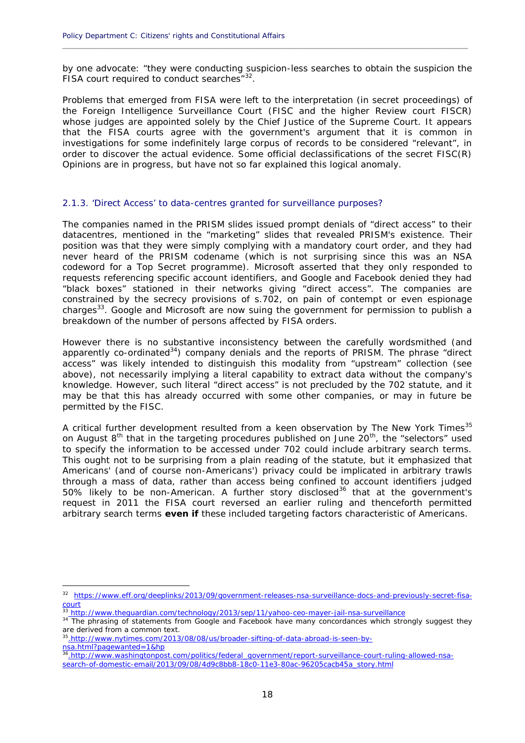by one advocate: *"they were conducting suspicion-less searches to obtain the suspicion the FISA court required to conduct searches"<sup>32</sup> .*

**\_\_\_\_\_\_\_\_\_\_\_\_\_\_\_\_\_\_\_\_\_\_\_\_\_\_\_\_\_\_\_\_\_\_\_\_\_\_\_\_\_\_\_\_\_\_\_\_\_\_\_\_\_\_\_\_\_\_\_\_\_\_\_\_\_\_\_\_\_\_\_\_\_\_\_\_\_\_\_\_\_\_\_\_\_\_\_\_\_\_\_\_**

Problems that emerged from FISA were left to the interpretation (in secret proceedings) of the *Foreign Intelligence Surveillance Court* (FISC and the higher Review court FISCR) whose judges are appointed solely by the Chief Justice of the Supreme Court. It appears that the FISA courts agree with the government's argument that it is common in investigations for some indefinitely large corpus of records to be considered "relevant", in order to discover the actual evidence. Some official declassifications of the secret FISC(R) Opinions are in progress, but have not so far explained this logical anomaly.

#### 2.1.3. 'Direct Access' to data-centres granted for surveillance purposes?

The companies named in the PRISM slides issued prompt denials of "direct access" to their datacentres, mentioned in the "marketing" slides that revealed PRISM's existence. Their position was that they were simply complying with a mandatory court order, and they had never heard of the PRISM codename (which is not surprising since this was an NSA codeword for a Top Secret programme). Microsoft asserted that they only responded to requests referencing specific account identifiers, and Google and Facebook denied they had "black boxes" stationed in their networks giving "direct access". The companies are constrained by the secrecy provisions of s.702, on pain of contempt or even espionage charges<sup>33</sup>. Google and Microsoft are now suing the government for permission to publish a breakdown of the number of persons affected by FISA orders.

However there is no substantive inconsistency between the carefully wordsmithed (and apparently co-ordinated $34$ ) company denials and the reports of PRISM. The phrase "direct access" was likely intended to distinguish this modality from "upstream" collection (see above), not necessarily implying a literal capability to extract data without the company's knowledge. However, such literal "direct access" is not precluded by the 702 statute, and it may be that this has already occurred with some other companies, or may in future be permitted by the FISC.

A critical further development resulted from a keen observation by *The New York Times*<sup>35</sup> on August 8<sup>th</sup> that in the targeting procedures published on June 20<sup>th</sup>, the "selectors" used to specify the information to be accessed under 702 could include arbitrary search terms. This ought not to be surprising from a plain reading of the statute, but it emphasized that Americans' (and of course non-Americans') privacy could be implicated in arbitrary trawls through a mass of data, rather than access being confined to account identifiers judged  $50\%$  likely to be non-American. A further story disclosed<sup>36</sup> that at the government's request in 2011 the FISA court reversed an earlier ruling and thenceforth permitted arbitrary search terms **even if** these included targeting factors characteristic of Americans.

<sup>&</sup>lt;sup>32</sup> https://www.eff.org/deeplinks/2013/09/government-releases-nsa-surveillance-docs-and-previously-secret-fisacourt

<sup>33</sup> http://www.theguardian.com/technology/2013/sep/11/yahoo-ceo-mayer-jail-nsa-surveillance

<sup>&</sup>lt;sup>34</sup> The phrasing of statements from Google and Facebook have many concordances which strongly suggest they are derived from a common text.

<sup>35</sup>.http://www.nytimes.com/2013/08/08/us/broader-sifting-of-data-abroad-is-seen-by nsa.html?pagewanted=1&hp

<sup>36</sup>.http://www.washingtonpost.com/politics/federal\_government/report-surveillance-court-ruling-allowed-nsa search-of-domestic-email/2013/09/08/4d9c8bb8-18c0-11e3-80ac-96205cacb45a\_story.html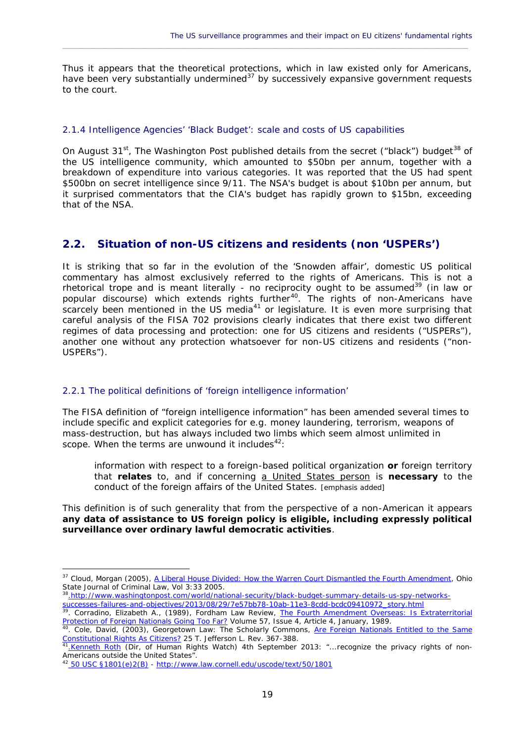Thus it appears that the theoretical protections, which in law existed only for Americans, have been very substantially undermined $37$  by successively expansive government requests to the court.

 $\_$  ,  $\_$  ,  $\_$  ,  $\_$  ,  $\_$  ,  $\_$  ,  $\_$  ,  $\_$  ,  $\_$  ,  $\_$  ,  $\_$  ,  $\_$  ,  $\_$  ,  $\_$  ,  $\_$  ,  $\_$  ,  $\_$  ,  $\_$  ,  $\_$  ,  $\_$  ,  $\_$  ,  $\_$  ,  $\_$  ,  $\_$  ,  $\_$  ,  $\_$  ,  $\_$  ,  $\_$  ,  $\_$  ,  $\_$  ,  $\_$  ,  $\_$  ,  $\_$  ,  $\_$  ,  $\_$  ,  $\_$  ,  $\_$  ,

#### 2.1.4 Intelligence Agencies' 'Black Budget': scale and costs of US capabilities

On August 31<sup>st</sup>, The Washington Post published details from the secret ("black") budget<sup>38</sup> of the US intelligence community, which amounted to \$50bn per annum, together with a breakdown of expenditure into various categories. It was reported that the US had spent \$500bn on secret intelligence since 9/11. The NSA's budget is about \$10bn per annum, but it surprised commentators that the CIA's budget has rapidly grown to \$15bn, exceeding that of the NSA.

#### **2.2. Situation of non-US citizens and residents (non 'USPERs')**

It is striking that so far in the evolution of the 'Snowden affair', domestic US political commentary has almost exclusively referred to the rights of *Americans*. This is not a rhetorical trope and is meant literally - no reciprocity ought to be assumed<sup>39</sup> (in law or popular discourse) which extends rights further<sup>40</sup>. The rights of non-Americans have scarcely been mentioned in the US media<sup>41</sup> or legislature. It is even more surprising that careful analysis of the FISA 702 provisions clearly indicates that there exist two different regimes of data processing and protection: one for US citizens and residents ("USPERs"), another one without any protection whatsoever for non-US citizens and residents ("non- USPERs").

#### 2.2.1 The political definitions of 'foreign intelligence information'

The FISA definition of "foreign intelligence information" has been amended several times to include specific and explicit categories for e.g. money laundering, terrorism, weapons of mass-destruction, but has always included two limbs which seem almost unlimited in scope. When the terms are unwound it includes $42$ :

*information with respect to a foreign-based political organization or foreign territory that relates to, and if concerning a United States person is necessary to the conduct of the foreign affairs of the United States.* [emphasis added]

This definition is of such generality that from the perspective of a non-American it appears **any data of assistance to US foreign policy is eligible, including expressly political surveillance over ordinary lawful democratic activities**.

<sup>38</sup>.http://www.washingtonpost.com/world/national-security/black-budget-summary-details-us-spy-networks-

<sup>&</sup>lt;sup>37</sup> Cloud, Morgan (2005), A Liberal House Divided: How the Warren Court Dismantled the Fourth Amendment, Ohio State Journal of Criminal Law, Vol 3:33 2005.

successes-failures-and-objectives/2013/08/29/7e57bb78-10ab-11e3-8cdd-bcdc09410972\_story.html<br><sup>39</sup>. Corradino, Elizabeth A., (1989), Fordham Law Review, <u>The Fourth Amendment Overseas: Is Extraterritorial</u> Protection of Foreign Nationals Going Too Far? Volume 57, Issue 4, Article 4, January, 1989.

<sup>&</sup>lt;sup>40</sup>. Cole, David, (2003), Georgetown Law: The Scholarly Commons, Are Foreign Nationals Entitled to the Same Constitutional Rights As Citizens? 25 T. Jefferson L. Rev. 367-388.

<sup>&</sup>lt;sup>41</sup>.Kenneth Roth (Dir, of Human Rights Watch) 4th September 2013: "...recognize the privacy rights of non-Americans outside the United States".

<sup>&</sup>lt;sup>42</sup> 50 USC §1801(e)2(B) - http://www.law.cornell.edu/uscode/text/50/1801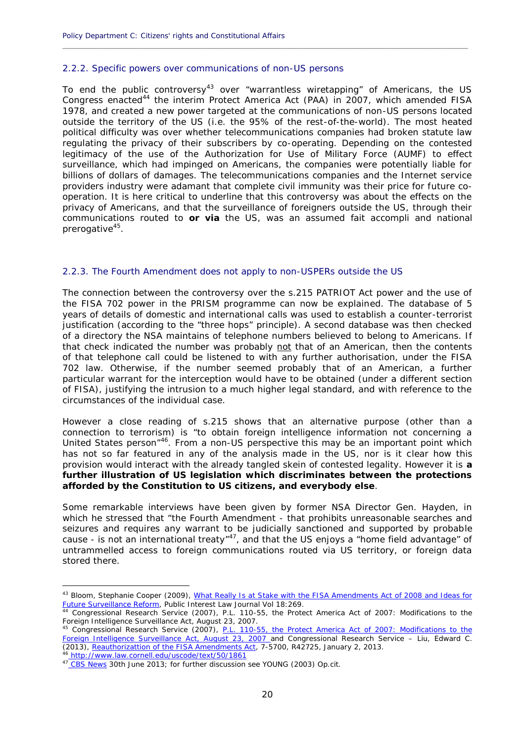#### 2.2.2. Specific powers over communications of non-US persons

To end the public controversy<sup>43</sup> over "warrantless wiretapping" of Americans, the US Congress enacted<sup>44</sup> the interim Protect America Act (PAA) in 2007, which amended FISA 1978, and created a new power targeted at the communications of non-US persons located outside the territory of the US (i.e. the 95% of the rest-of-the-world). The most heated political difficulty was over whether telecommunications companies had broken statute law regulating the privacy of their subscribers by co-operating. Depending on the contested legitimacy of the use of the *Authorization for Use of Military Force* (AUMF) to effect surveillance, which had impinged on Americans, the companies were potentially liable for billions of dollars of damages. The telecommunications companies and the Internet service providers industry were adamant that complete civil immunity was their price for future co operation. It is here critical to underline that this controversy was about the effects on the privacy of Americans, and that the surveillance of foreigners outside the US, through their communications routed to **or via** the US, was an assumed *fait accompli* and national prerogative<sup>45</sup>.

**\_\_\_\_\_\_\_\_\_\_\_\_\_\_\_\_\_\_\_\_\_\_\_\_\_\_\_\_\_\_\_\_\_\_\_\_\_\_\_\_\_\_\_\_\_\_\_\_\_\_\_\_\_\_\_\_\_\_\_\_\_\_\_\_\_\_\_\_\_\_\_\_\_\_\_\_\_\_\_\_\_\_\_\_\_\_\_\_\_\_\_\_**

#### 2.2.3. The Fourth Amendment does not apply to non-USPERs outside the US

The connection between the controversy over the s.215 PATRIOT Act power and the use of the FISA 702 power in the PRISM programme can now be explained. The database of 5 years of details of domestic and international calls was used to establish a counter-terrorist justification (according to the "three hops" principle). A second database was then checked of a directory the NSA maintains of telephone numbers believed to belong to Americans. If that check indicated the number was probably not that of an American, then the contents of that telephone call could be listened to with any further authorisation, under the FISA 702 law. Otherwise, if the number seemed probably that of an American, a further particular warrant for the interception would have to be obtained (under a different section of FISA), justifying the intrusion to a much higher legal standard, and with reference to the circumstances of the individual case.

However a close reading of s.215 shows that an alternative purpose (other than a connection to terrorism) is *"to obtain foreign intelligence information not concerning a United States person"*<sup>46</sup>. From a non-US perspective this may be an important point which has not so far featured in any of the analysis made in the US, nor is it clear how this provision would interact with the already tangled skein of contested legality. However it is **a further illustration of US legislation which discriminates between the protections afforded by the Constitution to US citizens, and everybody else**.

Some remarkable interviews have been given by former NSA Director Gen. Hayden, in which he stressed that "*the Fourth Amendment* - that prohibits unreasonable searches and seizures and requires any warrant to be judicially sanctioned and supported by probable cause - *is not an international treaty*" <sup>47</sup>, and that the US enjoys a "home field advantage" of untrammelled access to foreign communications routed via US territory, or foreign data stored there.

<sup>6</sup> http://www.law.cornell.edu/uscode/text/50/1861 47 CBS News 30th June 2013; for further discussion see YOUNG (2003) Op.cit.

<sup>43</sup> Bloom, Stephanie Cooper (2009), What Really Is at Stake with the FISA Amendments Act of 2008 and Ideas for Future Surveillance Reform, Public Interest Law Journal Vol 18:269.

<sup>44</sup> Congressional Research Service (2007), P.L. 110-55, the Protect America Act of 2007: Modifications to the Foreign Intelligence Surveillance Act, August 23, 2007.

<sup>&</sup>lt;sup>45</sup> Congressional Research Service (2007), <u>P.L. 110-55, the Protect America Act of 2007: Modifications to the</u> Foreign Intelligence Surveillance Act, August 23, 2007 and Congressional Research Service – Liu, Edward C. (2013), Reauthorizattion of the FISA Amendments Act, 7-5700, R42725, January 2, 2013.

<sup>20</sup>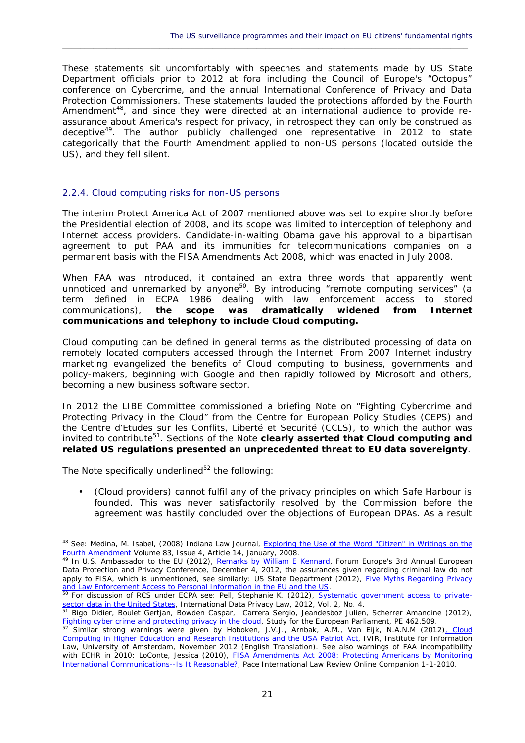These statements sit uncomfortably with speeches and statements made by US State Department officials prior to 2012 at fora including the Council of Europe's "Octopus" conference on Cybercrime, and the annual International Conference of Privacy and Data Protection Commissioners. These statements lauded the protections afforded by the Fourth Amendment<sup>48</sup>, and since they were directed at an international audience to provide reassurance about America's respect for privacy, in retrospect they can only be construed as deceptive<sup>49</sup>. The author publicly challenged one representative in 2012 to state categorically that the Fourth Amendment applied to non-US persons (located outside the US), and they fell silent.

 $\_$  ,  $\_$  ,  $\_$  ,  $\_$  ,  $\_$  ,  $\_$  ,  $\_$  ,  $\_$  ,  $\_$  ,  $\_$  ,  $\_$  ,  $\_$  ,  $\_$  ,  $\_$  ,  $\_$  ,  $\_$  ,  $\_$  ,  $\_$  ,  $\_$  ,  $\_$  ,  $\_$  ,  $\_$  ,  $\_$  ,  $\_$  ,  $\_$  ,  $\_$  ,  $\_$  ,  $\_$  ,  $\_$  ,  $\_$  ,  $\_$  ,  $\_$  ,  $\_$  ,  $\_$  ,  $\_$  ,  $\_$  ,  $\_$  ,

#### 2.2.4. Cloud computing risks for non-US persons

The interim Protect America Act of 2007 mentioned above was set to expire shortly before the Presidential election of 2008, and its scope was limited to interception of telephony and Internet access providers. Candidate-in-waiting Obama gave his approval to a bipartisan agreement to put PAA and its immunities for telecommunications companies on a permanent basis with the FISA Amendments Act 2008, which was enacted in July 2008.

When FAA was introduced, it contained an extra three words that apparently went unnoticed and unremarked by anyone<sup>50</sup>. By introducing "remote computing services" (a term defined in ECPA 1986 dealing with *law enforcement* access to stored communications), **the scope was dramatically widened from Internet communications and telephony to include Cloud computing.**

Cloud computing can be defined in general terms as the distributed processing of data on remotely located computers accessed through the Internet. From 2007 Internet industry marketing evangelized the benefits of Cloud computing to business, governments and policy-makers, beginning with Google and then rapidly followed by Microsoft and others, becoming a new business software sector.

In 2012 the LIBE Committee commissioned a briefing Note on "Fighting Cybercrime and Protecting Privacy in the Cloud" from the *Centre for European Policy Studies* (CEPS) and the *Centre d'Etudes sur les Conflits, Liberté et Securité* (CCLS), to which the author was invited to contribute<sup>51</sup>. Sections of the Note clearly asserted that Cloud computing and **related US regulations presented an unprecedented threat to EU data sovereignty**.

The Note specifically underlined $52$  the following:

 *(Cloud providers) cannot fulfil any of the privacy principles on which Safe Harbour is founded. This was never satisfactorily resolved by the Commission before the agreement was hastily concluded over the objections of European DPAs. As a result*

<sup>&</sup>lt;sup>48</sup> See: Medina, M. Isabel, (2008) Indiana Law Journal, *Exploring the Use of the Word "Citizen" in Writings on the* Fourth Amendment Volume 83, Issue 4, Article 14, January, 2008.

<sup>&</sup>lt;sup>49</sup> In U.S. Ambassador to the EU (2012), Remarks by William E Kennard, Forum Europe's 3rd Annual European Data Protection and Privacy Conference, December 4, 2012, the assurances given regarding criminal law do not apply to FISA, which is unmentioned, see similarly: US State Department (2012), Five Myths Regarding Privacy and Law Enforcement Access to Personal Information in the EU and the US.

<sup>&</sup>lt;sup>50</sup> For discussion of RCS under ECPA see: Pell, Stephanie K. (2012), Systematic government access to privatesector data in the United States, International Data Privacy Law, 2012, Vol. 2, No. 4.

<sup>&</sup>lt;sup>51</sup> Bigo Didier, Boulet Gertjan, Bowden Caspar, Carrera Sergio, Jeandesboz Julien, Scherrer Amandine (2012), Fighting cyber crime and protecting privacy in the cloud, Study for the European Parliament, PE 462.509.

<sup>&</sup>lt;sup>52</sup> Similar strong warnings were given by Hoboken, J.V.J., Arnbak, A.M., Van Eijk, N.A.N.M (2012)<u>, Cloud</u> Computing in Higher Education and Research Institutions and the USA Patriot Act, IVIR, Institute for Information Law, University of Amsterdam, November 2012 (English Translation). See also warnings of FAA incompatibility with ECHR in 2010: LoConte, Jessica (2010), FISA Amendments Act 2008: Protecting Americans by Monitoring International Communications--Is It Reasonable?, Pace International Law Review Online Companion 1-1-2010.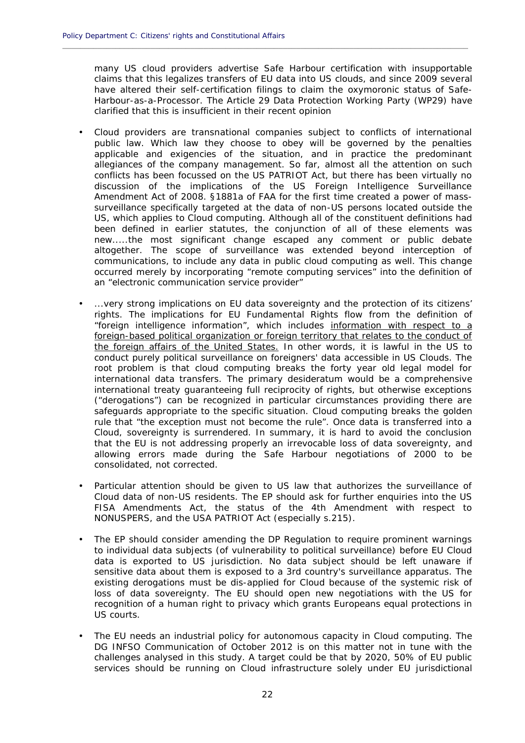*many US cloud providers advertise Safe Harbour certification with insupportable claims that this legalizes transfers of EU data into US clouds, and since 2009 several have altered their self-certification filings to claim the oxymoronic status of Safe- Harbour-as-a-Processor. The Article 29 Data Protection Working Party (WP29) have clarified that this is insufficient in their recent opinion*

**\_\_\_\_\_\_\_\_\_\_\_\_\_\_\_\_\_\_\_\_\_\_\_\_\_\_\_\_\_\_\_\_\_\_\_\_\_\_\_\_\_\_\_\_\_\_\_\_\_\_\_\_\_\_\_\_\_\_\_\_\_\_\_\_\_\_\_\_\_\_\_\_\_\_\_\_\_\_\_\_\_\_\_\_\_\_\_\_\_\_\_\_**

- *Cloud providers are transnational companies subject to conflicts of international public law. Which law they choose to obey will be governed by the penalties applicable and exigencies of the situation, and in practice the predominant allegiances of the company management. So far, almost all the attention on such conflicts has been focussed on the US PATRIOT Act, but there has been virtually no discussion of the implications of the US Foreign Intelligence Surveillance Amendment Act of 2008. §1881a of FAA for the first time created a power of mass surveillance specifically targeted at the data of non-US persons located outside the US, which applies to Cloud computing. Although all of the constituent definitions had been defined in earlier statutes, the conjunction of all of these elements was new.....the most significant change escaped any comment or public debate altogether. The scope of surveillance was extended beyond interception of communications, to include any data in public cloud computing as well. This change occurred merely by incorporating "remote computing services" into the definition of an "electronic communication service provider"*
- *...very strong implications on EU data sovereignty and the protection of its citizens' rights. The implications for EU Fundamental Rights flow from the definition of "foreign intelligence information", which includes information with respect to a foreign-based political organization or foreign territory that relates to the conduct of the foreign affairs of the United States. In other words, it is lawful in the US to conduct purely political surveillance on foreigners' data accessible in US Clouds. The root problem is that cloud computing breaks the forty year old legal model for international data transfers. The primary desideratum would be a comprehensive international treaty guaranteeing full reciprocity of rights, but otherwise exceptions ("derogations") can be recognized in particular circumstances providing there are safeguards appropriate to the specific situation. Cloud computing breaks the golden rule that "the exception must not become the rule". Once data is transferred into a Cloud, sovereignty is surrendered. In summary, it is hard to avoid the conclusion that the EU is not addressing properly an irrevocable loss of data sovereignty, and allowing errors made during the Safe Harbour negotiations of 2000 to be consolidated, not corrected.*
- *Particular attention should be given to US law that authorizes the surveillance of Cloud data of non-US residents. The EP should ask for further enquiries into the US FISA Amendments Act, the status of the 4th Amendment with respect to NONUSPERS, and the USA PATRIOT Act (especially s.215).*
- *The EP should consider amending the DP Regulation to require prominent warnings to individual data subjects (of vulnerability to political surveillance) before EU Cloud data is exported to US jurisdiction. No data subject should be left unaware if sensitive data about them is exposed to a 3rd country's surveillance apparatus. The existing derogations must be dis-applied for Cloud because of the systemic risk of loss of data sovereignty. The EU should open new negotiations with the US for recognition of a human right to privacy which grants Europeans equal protections in US courts.*
- *The EU needs an industrial policy for autonomous capacity in Cloud computing. The DG INFSO Communication of October 2012 is on this matter not in tune with the challenges analysed in this study. A target could be that by 2020, 50% of EU public services should be running on Cloud infrastructure solely under EU jurisdictional*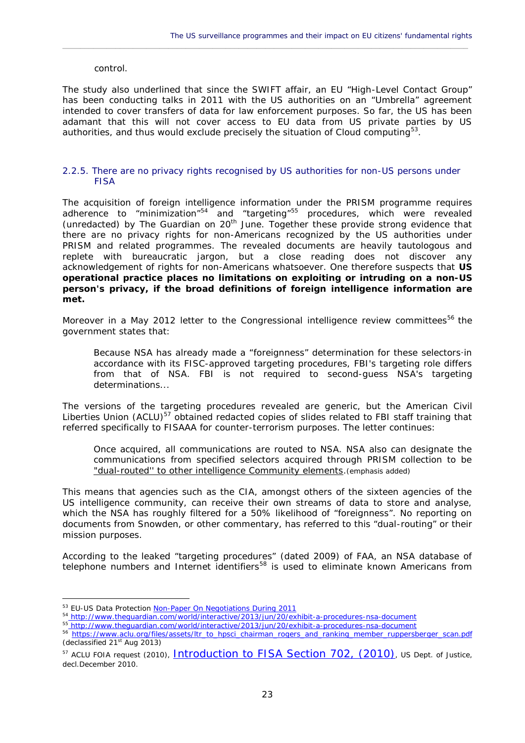#### *control.*

The study also underlined that since the SWIFT affair, an EU "High-Level Contact Group" has been conducting talks in 2011 with the US authorities on an "Umbrella" agreement intended to cover transfers of data for law enforcement purposes. So far, the US has been adamant that this will not cover access to EU data from US private parties by US authorities, and thus would exclude precisely the situation of Cloud computing<sup>53</sup>.

 $\_$  ,  $\_$  ,  $\_$  ,  $\_$  ,  $\_$  ,  $\_$  ,  $\_$  ,  $\_$  ,  $\_$  ,  $\_$  ,  $\_$  ,  $\_$  ,  $\_$  ,  $\_$  ,  $\_$  ,  $\_$  ,  $\_$  ,  $\_$  ,  $\_$  ,  $\_$  ,  $\_$  ,  $\_$  ,  $\_$  ,  $\_$  ,  $\_$  ,  $\_$  ,  $\_$  ,  $\_$  ,  $\_$  ,  $\_$  ,  $\_$  ,  $\_$  ,  $\_$  ,  $\_$  ,  $\_$  ,  $\_$  ,  $\_$  ,

#### 2.2.5. There are no privacy rights recognised by US authorities for non-US persons under FISA

The acquisition of *foreign intelligence information* under the PRISM programme requires adherence to "minimization"<sup>54</sup> and "targeting"<sup>55</sup> procedures, which were revealed (unredacted) by The Guardian on 20<sup>th</sup> June. Together these provide strong evidence that there are no privacy rights for non-Americans recognized by the US authorities under PRISM and related programmes. The revealed documents are heavily tautologous and replete with bureaucratic jargon, but a close reading does not discover any acknowledgement of rights for non-Americans whatsoever. One therefore suspects that **US operational practice places no limitations on exploiting or intruding on a non-US person's privacy, if the broad definitions of** *foreign intelligence information* **are met.**

Moreover in a May 2012 letter to the Congressional intelligence review committees<sup>56</sup> the government states that:

*Because NSA has already made a "foreignness" determination for these selectors·in accordance with its FISC-approved targeting procedures, FBI's targeting role differs from that of NSA. FBI is not required to second-guess NSA's targeting determinations...*

The versions of the targeting procedures revealed are generic, but the American Civil Liberties Union (ACLU)<sup>57</sup> obtained redacted copies of slides related to FBI staff training that referred specifically to FISAAA for counter-terrorism purposes. The letter continues:

*Once acquired, all communications are routed to NSA. NSA also can designate the communications from specified selectors acquired through PRISM collection to be "dual-routed'' to other intelligence Community elements.*(emphasis added)

This means that agencies such as the CIA, amongst others of the sixteen agencies of the US intelligence community, can receive their own streams of data to store and analyse, which the NSA has roughly filtered for a 50% likelihood of "foreignness". No reporting on documents from Snowden, or other commentary, has referred to this "dual-routing" or their mission purposes.

According to the leaked "targeting procedures" (dated 2009) of FAA, an NSA database of telephone numbers and Internet identifiers<sup>58</sup> is used to eliminate known Americans from

<sup>&</sup>lt;sup>53</sup> EU-US Data Protection Non-Paper On Negotiations During 2011

<sup>54</sup> http://www.theguardian.com/world/interactive/2013/jun/20/exhibit-a-procedures-nsa-document

<sup>55</sup> http://www.theguardian.com/world/interactive/2013/jun/20/exhibit-a-procedures-nsa-document

<sup>&</sup>lt;sup>56</sup> https://www.aclu.org/files/assets/ltr\_to\_hpsci\_chairman\_rogers\_and\_ranking\_member\_ruppersberger\_scan.pdf  $(declassified 21<sup>st</sup> Aug 2013)$ 

<sup>&</sup>lt;sup>57</sup> ACLU FOIA request (2010), **Introduction to FISA Section 702**, (2010), US Dept. of Justice, decl.December 2010.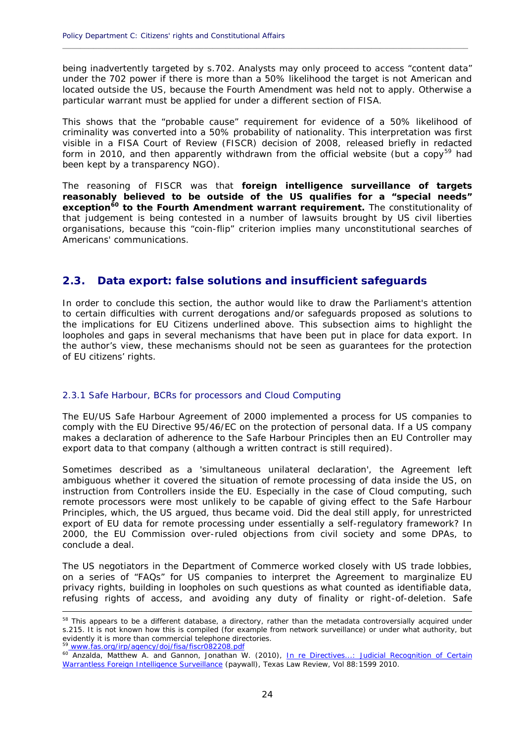being inadvertently targeted by s.702. Analysts may only proceed to access "content data" under the 702 power if there is more than a 50% likelihood the target is not American and located outside the US, because the Fourth Amendment was held not to apply. Otherwise a particular warrant must be applied for under a different section of FISA.

**\_\_\_\_\_\_\_\_\_\_\_\_\_\_\_\_\_\_\_\_\_\_\_\_\_\_\_\_\_\_\_\_\_\_\_\_\_\_\_\_\_\_\_\_\_\_\_\_\_\_\_\_\_\_\_\_\_\_\_\_\_\_\_\_\_\_\_\_\_\_\_\_\_\_\_\_\_\_\_\_\_\_\_\_\_\_\_\_\_\_\_\_**

This shows that the "probable cause" requirement for evidence of a 50% likelihood of *criminality* was converted into a 50% probability of *nationality*. This interpretation was first visible in a FISA Court of Review (FISCR) decision of 2008, released briefly in redacted form in 2010, and then apparently withdrawn from the official website (but a copy<sup>59</sup> had been kept by a transparency NGO).

The reasoning of FISCR was that **foreign intelligence surveillance of targets reasonably believed to be outside of the US qualifies for a "special needs" exception<sup>60</sup> to the Fourth Amendment warrant requirement.** The constitutionality of that judgement is being contested in a number of lawsuits brought by US civil liberties organisations, because this "coin-flip" criterion implies many unconstitutional searches of Americans' communications.

#### **2.3. Data export: false solutions and insufficient safeguards**

In order to conclude this section, the author would like to draw the Parliament's attention to certain difficulties with current derogations and/or safeguards proposed as solutions to the implications for EU Citizens underlined above. This subsection aims to highlight the loopholes and gaps in several mechanisms that have been put in place for data export. In the author's view, these mechanisms should not be seen as guarantees for the protection of EU citizens' rights.

#### 2.3.1 Safe Harbour, BCRs for processors and Cloud Computing

The EU/US Safe Harbour Agreement of 2000 implemented a process for US companies to comply with the EU Directive 95/46/EC on the protection of personal data. If a US company makes a declaration of adherence to the Safe Harbour Principles then an EU Controller may export data to that company (although a written contract is still required).

Sometimes described as a 'simultaneous unilateral declaration', the Agreement left ambiguous whether it covered the situation of remote processing of data inside the US, on instruction from Controllers inside the EU. Especially in the case of Cloud computing, such remote processors were most unlikely to be capable of giving effect to the Safe Harbour Principles, which, the US argued, thus became void. Did the deal still apply, for unrestricted export of EU data for remote processing under essentially a self-regulatory framework? In 2000, the EU Commission over-ruled objections from civil society and some DPAs, to conclude a deal.

The US negotiators in the Department of Commerce worked closely with US trade lobbies, on a series of "FAQs" for US companies to interpret the Agreement to marginalize EU privacy rights, building in loopholes on such questions as what counted as identifiable data, refusing rights of access, and avoiding any duty of finality or right-of-deletion. Safe

<sup>58</sup> This appears to be a different database, a directory, rather than the metadata controversially acquired under s.215. It is not known how this is compiled (for example from network surveillance) or under what authority, but evidently it is more than commercial telephone directories. <sup>59</sup> www.fas.org/irp/agency/doj/fisa/fiscr082208.pdf

<sup>&</sup>lt;sup>60</sup> Anzalda, Matthew A. and Gannon, Jonathan W. (2010), In re Directives...: Judicial Recognition of Certain Warrantless Foreign Intelligence Surveillance (paywall), Texas Law Review, Vol 88:1599 2010.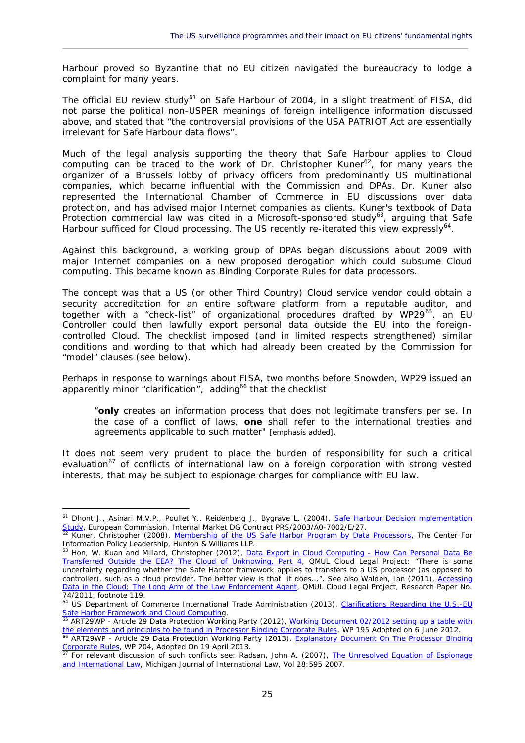Harbour proved so Byzantine that no EU citizen navigated the bureaucracy to lodge a complaint for many years.

 $\_$  ,  $\_$  ,  $\_$  ,  $\_$  ,  $\_$  ,  $\_$  ,  $\_$  ,  $\_$  ,  $\_$  ,  $\_$  ,  $\_$  ,  $\_$  ,  $\_$  ,  $\_$  ,  $\_$  ,  $\_$  ,  $\_$  ,  $\_$  ,  $\_$  ,  $\_$  ,  $\_$  ,  $\_$  ,  $\_$  ,  $\_$  ,  $\_$  ,  $\_$  ,  $\_$  ,  $\_$  ,  $\_$  ,  $\_$  ,  $\_$  ,  $\_$  ,  $\_$  ,  $\_$  ,  $\_$  ,  $\_$  ,  $\_$  ,

The official EU review study<sup>61</sup> on Safe Harbour of 2004, in a slight treatment of FISA, did not parse the political non-USPER meanings of *foreign intelligence information* discussed above, and stated that *"the controversial provisions of the USA PATRIOT Act are essentially irrelevant for Safe Harbour data flows"*.

Much of the legal analysis supporting the theory that Safe Harbour applies to Cloud computing can be traced to the work of Dr. Christopher Kuner<sup>62</sup>, for many years the organizer of a Brussels lobby of privacy officers from predominantly US multinational companies, which became influential with the Commission and DPAs. Dr. Kuner also represented the International Chamber of Commerce in EU discussions over data protection, and has advised major Internet companies as clients. Kuner's textbook of Data Protection commercial law was cited in a Microsoft-sponsored study<sup>63</sup>, arguing that Safe Harbour sufficed for Cloud processing. The US recently re-iterated this view expressly<sup>64</sup>.

Against this background, a working group of DPAs began discussions about 2009 with major Internet companies on a new proposed derogation which could subsume Cloud computing. This became known as *Binding Corporate Rules for data processors*.

The concept was that a US (or other Third Country) Cloud service vendor could obtain a security accreditation for an entire software platform from a reputable auditor, and together with a "check-list" of organizational procedures drafted by WP29<sup>65</sup>, an EU Controller could then lawfully export personal data outside the EU into the foreign controlled Cloud. The checklist imposed (and in limited respects strengthened) similar conditions and wording to that which had already been created by the Commission for "model" clauses (see below).

Perhaps in response to warnings about FISA, two months before Snowden, WP29 issued an apparently minor "clarification", adding<sup>66</sup> that the checklist

*"only creates an information process that does not legitimate transfers per se. In the case of a conflict of laws, one shall refer to the international treaties and agreements applicable to such matter"* [emphasis added].

It does not seem very prudent to place the burden of responsibility for such a critical evaluation<sup>67</sup> of conflicts of international law on a foreign corporation with strong vested interests, that may be subject to espionage charges for compliance with EU law.

<sup>61</sup> Dhont J., Asinari M.V.P., Poullet Y., Reidenberg J., Bygrave L. (2004), Safe Harbour Decision mplementation Study, European Commission, Internal Market DG Contract PRS/2003/A0-7002/E/27.

 $\frac{62}{62}$  Kuner, Christopher (2008), Membership of the US Safe Harbor Program by Data Processors, The Center For Information Policy Leadership, Hunton & Williams LLP.

<sup>&</sup>lt;sup>63</sup> Hon, W. Kuan and Millard, Christopher (2012), Data Export in Cloud Computing - How Can Personal Data Be Transferred Outside the EEA? The Cloud of Unknowing, Part 4, QMUL Cloud Legal Project: "There is some uncertainty regarding whether the Safe Harbor framework applies to transfers to a US processor (as opposed to controller), such as a cloud provider. The better view is that it does...". See also Walden, Ian (2011), Accessing Data in the Cloud: The Long Arm of the Law Enforcement Agent, QMUL Cloud Legal Project, Research Paper No. 74/2011, footnote 119.

<sup>64</sup> US Department of Commerce International Trade Administration (2013), Clarifications Regarding the U.S.-EU Safe Harbor Framework and Cloud Computing.

<sup>&</sup>lt;sup>65</sup> ART29WP - Article 29 Data Protection Working Party (2012), <u>Working Document 02/2012 setting up a table with</u> the elements and principles to be found in Processor Binding Corporate Rules, WP 195 Adopted on 6 June 2012.

<sup>&</sup>lt;sup>66</sup> ART29WP - Article 29 Data Protection Working Party (2013), Explanatory Document On The Processor Binding Corporate Rules, WP 204, Adopted On 19 April 2013.

<sup>&</sup>lt;sup>67</sup> For relevant discussion of such conflicts see: Radsan, John A. (2007), <u>The Unresolved Equation of Espionage</u> and International Law, Michigan Journal of International Law, Vol 28:595 2007.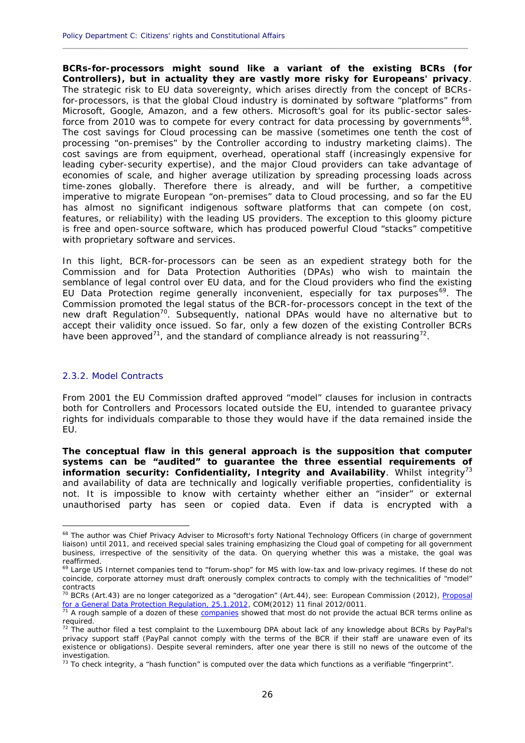**BCRs-for-processors might sound like a variant of the existing BCRs (for Controllers), but in actuality they are vastly more risky for Europeans' privacy**. The strategic risk to EU data sovereignty, which arises directly from the concept of BCRsfor-processors, is that the global Cloud industry is dominated by software "platforms" from Microsoft, Google, Amazon, and a few others. Microsoft's goal for its public-sector salesforce from 2010 was to compete for every contract for data processing by governments<sup>68</sup>. The cost savings for Cloud processing can be massive (sometimes one tenth the cost of processing "on-premises" by the Controller according to industry marketing claims). The cost savings are from equipment, overhead, operational staff (increasingly expensive for leading cyber-security expertise), and the major Cloud providers can take advantage of economies of scale, and higher average utilization by spreading processing loads across time-zones globally. Therefore there is already, and will be further, a competitive imperative to migrate European "on-premises" data to Cloud processing, and so far the EU has almost no significant indigenous software platforms that can compete (on cost, features, or reliability) with the leading US providers. The exception to this gloomy picture is free and open-source software, which has produced powerful Cloud "stacks" competitive with proprietary software and services.

**\_\_\_\_\_\_\_\_\_\_\_\_\_\_\_\_\_\_\_\_\_\_\_\_\_\_\_\_\_\_\_\_\_\_\_\_\_\_\_\_\_\_\_\_\_\_\_\_\_\_\_\_\_\_\_\_\_\_\_\_\_\_\_\_\_\_\_\_\_\_\_\_\_\_\_\_\_\_\_\_\_\_\_\_\_\_\_\_\_\_\_\_**

In this light, BCR-for-processors can be seen as an expedient strategy both for the Commission and for Data Protection Authorities (DPAs) who wish to maintain the semblance of legal control over EU data, and for the Cloud providers who find the existing EU Data Protection regime generally inconvenient, especially for tax purposes<sup>69</sup>. The Commission promoted the legal status of the BCR-for-processors concept in the text of the new draft Regulation<sup>70</sup>. Subsequently, national DPAs would have no alternative but to accept their validity once issued. So far, only a few dozen of the existing Controller BCRs have been approved<sup>71</sup>, and the standard of compliance already is not reassuring<sup>72</sup>.

#### 2.3.2. Model Contracts

From 2001 the EU Commission drafted approved "model" clauses for inclusion in contracts both for Controllers and Processors located outside the EU, intended to guarantee privacy rights for individuals comparable to those they would have if the data remained inside the EU.

**The conceptual flaw in this general approach is the supposition that computer systems can be "audited" to guarantee the three essential requirements of information security: Confidentiality, Integrity and Availability**. Whilst integrity<sup>73</sup> and availability of data are technically and logically verifiable properties, confidentiality is not. It is impossible to know with certainty whether either an "insider" or external unauthorised party has seen or copied data. Even if data is encrypted with a

<sup>&</sup>lt;sup>68</sup> The author was Chief Privacy Adviser to Microsoft's forty National Technology Officers (in charge of government liaison) until 2011, and received special sales training emphasizing the Cloud goal of competing for all government business, irrespective of the sensitivity of the data. On querying whether this was a mistake, the goal was reaffirmed.

<sup>&</sup>lt;sup>69</sup> Large US Internet companies tend to "forum-shop" for MS with low-tax and low-privacy regimes. If these do not coincide, corporate attorney must draft onerously complex contracts to comply with the technicalities of "model" contracts

<sup>&</sup>lt;sup>70</sup> BCRs (Art.43) are no longer categorized as a "derogation" (Art.44), see: European Commission (2012), *Proposal* for a General Data Protection Regulation, 25.1.2012, COM(2012) 11 final 2012/0011.

<sup>&</sup>lt;sup>71</sup> A rough sample of a dozen of these companies showed that most do not provide the actual BCR terms online as required.

 $72$  The author filed a test complaint to the Luxembourg DPA about lack of any knowledge about BCRs by PayPal's privacy support staff (PayPal cannot comply with the terms of the BCR if their staff are unaware even of its existence or obligations). Despite several reminders, after one year there is still no news of the outcome of the investigation.

 $73$  To check integrity, a "hash function" is computed over the data which functions as a verifiable "fingerprint".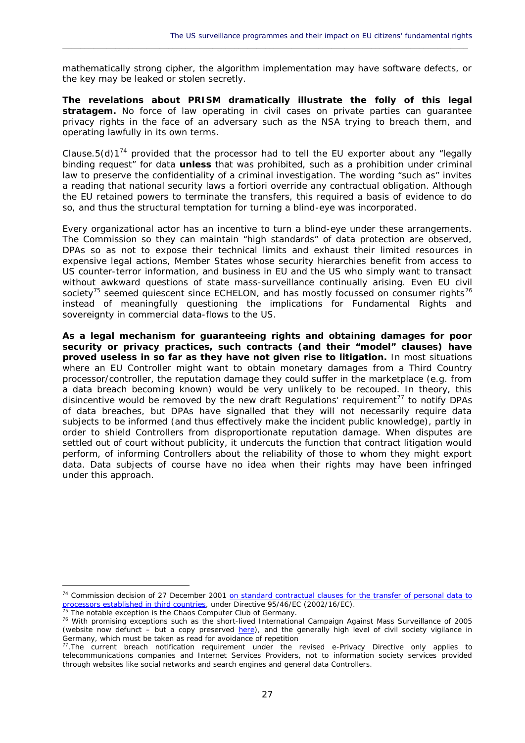mathematically strong cipher, the algorithm implementation may have software defects, or the key may be leaked or stolen secretly.

 $\_$  ,  $\_$  ,  $\_$  ,  $\_$  ,  $\_$  ,  $\_$  ,  $\_$  ,  $\_$  ,  $\_$  ,  $\_$  ,  $\_$  ,  $\_$  ,  $\_$  ,  $\_$  ,  $\_$  ,  $\_$  ,  $\_$  ,  $\_$  ,  $\_$  ,  $\_$  ,  $\_$  ,  $\_$  ,  $\_$  ,  $\_$  ,  $\_$  ,  $\_$  ,  $\_$  ,  $\_$  ,  $\_$  ,  $\_$  ,  $\_$  ,  $\_$  ,  $\_$  ,  $\_$  ,  $\_$  ,  $\_$  ,  $\_$  ,

**The revelations about PRISM dramatically illustrate the folly of this legal stratagem.** No force of law operating in civil cases on private parties can guarantee privacy rights in the face of an adversary such as the NSA trying to breach them, and operating lawfully in its own terms.

Clause.5(d)1<sup>74</sup> provided that the processor had to tell the EU exporter about any "legally binding request" for data *unless* that was prohibited, such as a prohibition under criminal law to preserve the confidentiality of a criminal investigation. The wording "such as" invites a reading that national security laws *a fortiori* override any contractual obligation. Although the EU retained powers to terminate the transfers, this required a basis of evidence to do so, and thus the structural temptation for turning a blind-eye was incorporated.

Every organizational actor has an incentive to turn a blind-eye under these arrangements. The Commission so they can maintain "high standards" of data protection are observed, DPAs so as not to expose their technical limits and exhaust their limited resources in expensive legal actions, Member States whose security hierarchies benefit from access to US counter-terror information, and business in EU and the US who simply want to transact without awkward questions of state mass-surveillance continually arising. Even EU civil society<sup>'s</sup> seemed quiescent since ECHELON, and has mostly focussed on consumer rights<sup>76</sup> instead of meaningfully questioning the implications for Fundamental Rights and sovereignty in commercial data-flows to the US.

**As a legal mechanism for guaranteeing rights and obtaining damages for poor security or privacy practices, such contracts (and their "model" clauses) have proved useless in so far as they have not given rise to litigation.** In most situations where an EU Controller might want to obtain monetary damages from a Third Country processor/controller, the reputation damage they could suffer in the marketplace (e.g. from a data breach becoming known) would be very unlikely to be recouped. In theory, this disincentive would be removed by the new draft Regulations' requirement<sup>77</sup> to notify DPAs of data breaches, but DPAs have signalled that they will not necessarily require data subjects to be informed (and thus effectively make the incident public knowledge), partly in order to shield Controllers from disproportionate reputation damage. When disputes are settled out of court without publicity, it undercuts the function that contract litigation would perform, of informing Controllers about the reliability of those to whom they might export data. Data subjects of course have no idea when their rights may have been infringed under this approach.

<sup>74</sup> Commission decision of 27 December 2001 on standard contractual clauses for the transfer of personal data to processors established in third countries, under Directive 95/46/EC (2002/16/EC).

<sup>&</sup>lt;sup>75</sup> The notable exception is the Chaos Computer Club of Germany.

<sup>76</sup> With promising exceptions such as the short-lived International Campaign Against Mass Surveillance of 2005 (website now defunct - but a copy preserved here), and the generally high level of civil society vigilance in Germany, which must be taken as read for avoidance of repetition

<sup>&</sup>lt;sup>77</sup>. The current breach notification requirement under the revised e-Privacy Directive only applies to telecommunications companies and Internet Services Providers, not to information society services provided through websites like social networks and search engines and general data Controllers.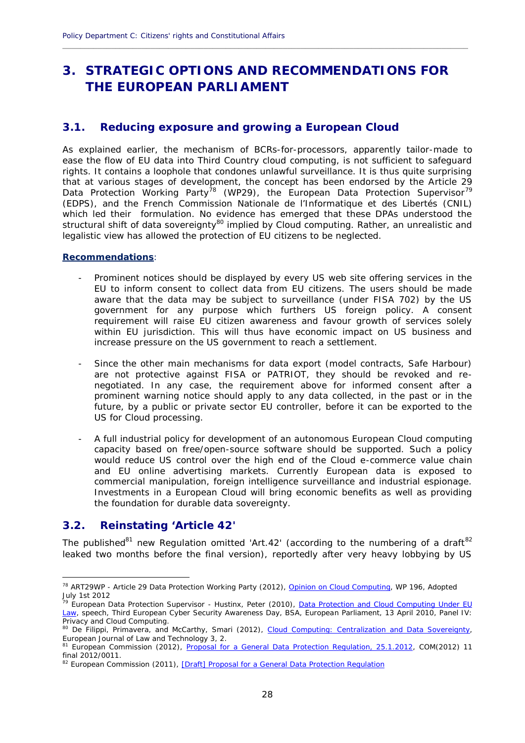### **3. STRATEGIC OPTIONS AND RECOMMENDATIONS FOR THE EUROPEAN PARLIAMENT**

**\_\_\_\_\_\_\_\_\_\_\_\_\_\_\_\_\_\_\_\_\_\_\_\_\_\_\_\_\_\_\_\_\_\_\_\_\_\_\_\_\_\_\_\_\_\_\_\_\_\_\_\_\_\_\_\_\_\_\_\_\_\_\_\_\_\_\_\_\_\_\_\_\_\_\_\_\_\_\_\_\_\_\_\_\_\_\_\_\_\_\_\_**

#### **3.1. Reducing exposure and growing a European Cloud**

As explained earlier, the mechanism of BCRs-for-processors, apparently tailor-made to ease the flow of EU data into Third Country cloud computing, is not sufficient to safeguard rights. It contains a loophole that condones unlawful surveillance. It is thus quite surprising that at various stages of development, the concept has been endorsed by the Article 29 Data Protection Working Party<sup>78</sup> (WP29), the European Data Protection Supervisor<sup>79</sup> (EDPS), and the French *Commission Nationale de l'Informatique et des Libertés* (CNIL) which led their formulation. No evidence has emerged that these DPAs understood the structural shift of data sovereignty<sup>80</sup> implied by Cloud computing. Rather, an unrealistic and legalistic view has allowed the protection of EU citizens to be neglected.

#### **Recommendations**:

- Prominent notices should be displayed by every US web site offering services in the EU to inform consent to collect data from EU citizens. The users should be made aware that the data may be subject to surveillance (under FISA 702) by the US government for any purpose which furthers US foreign policy. A consent requirement will raise EU citizen awareness and favour growth of services solely within EU jurisdiction. This will thus have economic impact on US business and increase pressure on the US government to reach a settlement.
- Since the other main mechanisms for data export (model contracts, Safe Harbour) are not protective against FISA or PATRIOT, they should be revoked and re negotiated. In any case, the requirement above for informed consent after a prominent warning notice should apply to any data collected, in the past or in the future, by a public or private sector EU controller, before it can be exported to the US for Cloud processing.
- A full industrial policy for development of an autonomous European Cloud computing capacity based on free/open-source software should be supported. Such a policy would reduce US control over the high end of the Cloud e-commerce value chain and EU online advertising markets. Currently European data is exposed to commercial manipulation, foreign intelligence surveillance and industrial espionage. Investments in a European Cloud will bring economic benefits as well as providing the foundation for durable data sovereignty.

#### **3.2. Reinstating 'Article 42'**

The published<sup>81</sup> new Regulation omitted 'Art.42' (according to the numbering of a draft<sup>82</sup> leaked two months before the final version), reportedly after very heavy lobbying by US

<sup>78</sup> ART29WP - Article 29 Data Protection Working Party (2012), Opinion on Cloud Computing, WP 196, Adopted July 1st 2012

<sup>&</sup>lt;sub>79</sub> European Data Protection Supervisor - Hustinx, Peter (2010), <u>Data Protection and Cloud Computing Under EU</u> Law, speech, Third European Cyber Security Awareness Day, BSA, European Parliament, 13 April 2010, Panel IV: Privacy and Cloud Computing.

<sup>80</sup> De Filippi, Primavera, and McCarthy, Smari (2012), Cloud Computing: Centralization and Data Sovereignty, European Journal of Law and Technology 3, 2.

<sup>&</sup>lt;sup>81</sup> European Commission (2012), Proposal for a General Data Protection Regulation, 25.1.2012, COM(2012) 11 final 2012/0011.

<sup>&</sup>lt;sup>82</sup> European Commission (2011), [Draft] Proposal for a General Data Protection Regulation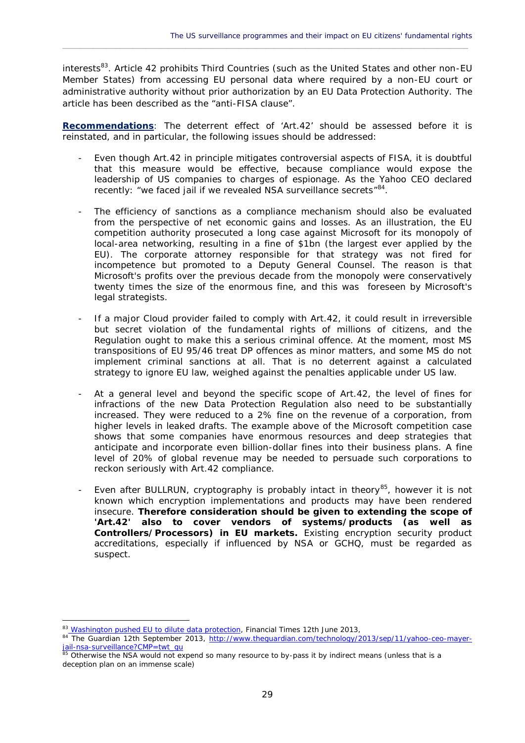interests<sup>83</sup>. Article 42 prohibits Third Countries (such as the United States and other non-EU Member States) from accessing EU personal data where required by a non-EU court or administrative authority without prior authorization by an EU Data Protection Authority. The article has been described as the "anti-FISA clause".

 $\_$  ,  $\_$  ,  $\_$  ,  $\_$  ,  $\_$  ,  $\_$  ,  $\_$  ,  $\_$  ,  $\_$  ,  $\_$  ,  $\_$  ,  $\_$  ,  $\_$  ,  $\_$  ,  $\_$  ,  $\_$  ,  $\_$  ,  $\_$  ,  $\_$  ,  $\_$  ,  $\_$  ,  $\_$  ,  $\_$  ,  $\_$  ,  $\_$  ,  $\_$  ,  $\_$  ,  $\_$  ,  $\_$  ,  $\_$  ,  $\_$  ,  $\_$  ,  $\_$  ,  $\_$  ,  $\_$  ,  $\_$  ,  $\_$  ,

**Recommendations**: The deterrent effect of 'Art.42' should be assessed before it is reinstated, and in particular, the following issues should be addressed:

- Even though Art.42 in principle mitigates controversial aspects of FISA, it is doubtful that this measure would be effective, because compliance would expose the leadership of US companies to charges of espionage. As the Yahoo CEO declared recently: "we faced jail if we revealed NSA surveillance secrets" <sup>84</sup>.
- The efficiency of sanctions as a compliance mechanism should also be evaluated from the perspective of net economic gains and losses. As an illustration, the EU competition authority prosecuted a long case against Microsoft for its monopoly of local-area networking, resulting in a fine of \$1bn (the largest ever applied by the EU). The corporate attorney responsible for that strategy was not fired for incompetence but promoted to a Deputy General Counsel. The reason is that Microsoft's profits over the previous decade from the monopoly were conservatively twenty times the size of the enormous fine, and this was foreseen by Microsoft's legal strategists.
- If a major Cloud provider failed to comply with Art.42, it could result in irreversible but secret violation of the fundamental rights of millions of citizens, and the Regulation ought to make this a serious criminal offence. At the moment, most MS transpositions of EU 95/46 treat DP offences as minor matters, and some MS do not implement criminal sanctions at all. That is no deterrent against a calculated strategy to ignore EU law, weighed against the penalties applicable under US law.
- At a general level and beyond the specific scope of Art.42, the level of fines for infractions of the new Data Protection Regulation also need to be substantially increased. They were reduced to a 2% fine on the revenue of a corporation, from higher levels in leaked drafts. The example above of the Microsoft competition case shows that some companies have enormous resources and deep strategies that anticipate and incorporate even billion-dollar fines into their business plans. A fine level of 20% of global revenue may be needed to persuade such corporations to reckon seriously with Art.42 compliance.
- Even after BULLRUN, cryptography is probably intact in theory<sup>85</sup>, however it is not known which encryption implementations and products may have been rendered insecure. **Therefore consideration should be given to extending the scope of 'Art.42' also to cover vendors of systems/products (as well as Controllers/Processors) in EU markets.** Existing encryption security product accreditations, especially if influenced by NSA or GCHQ, must be regarded as suspect.

<sup>83</sup> Washington pushed EU to dilute data protection, *Financial Times* 12th June 2013,

<sup>&</sup>lt;sup>84</sup> The Guardian 12th September 2013, http://www.theguardian.com/technology/2013/sep/11/yahoo-ceo-mayerjail-nsa-surveillance?CMP=twt\_gu

<sup>85</sup> Otherwise the NSA would not expend so many resource to by-pass it by indirect means (unless that is a deception plan on an immense scale)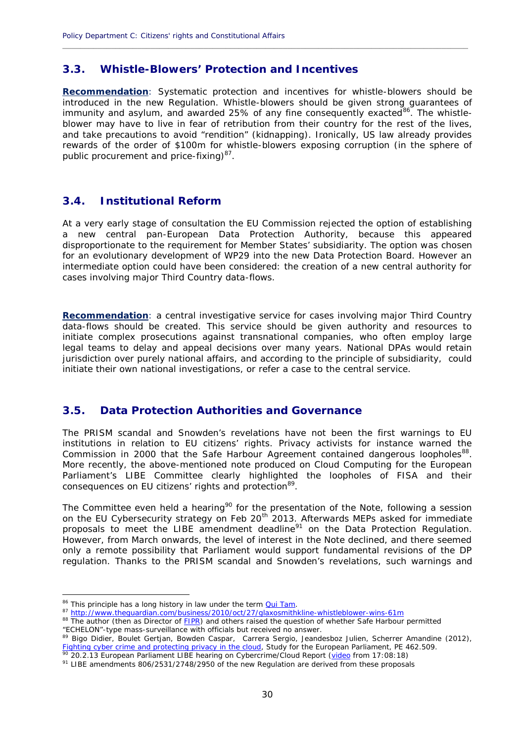#### **3.3. Whistle-Blowers' Protection and Incentives**

**Recommendation**: Systematic protection and incentives for whistle-blowers should be introduced in the new Regulation. Whistle-blowers should be given strong guarantees of immunity and asylum, and awarded 25% of any fine consequently exacted  $86$ . The whistleblower may have to live in fear of retribution from their country for the rest of the lives, and take precautions to avoid "rendition" (kidnapping). Ironically, US law already provides rewards of the order of \$100m for whistle-blowers exposing corruption (in the sphere of public procurement and price-fixing)<sup>87</sup>.

**\_\_\_\_\_\_\_\_\_\_\_\_\_\_\_\_\_\_\_\_\_\_\_\_\_\_\_\_\_\_\_\_\_\_\_\_\_\_\_\_\_\_\_\_\_\_\_\_\_\_\_\_\_\_\_\_\_\_\_\_\_\_\_\_\_\_\_\_\_\_\_\_\_\_\_\_\_\_\_\_\_\_\_\_\_\_\_\_\_\_\_\_**

#### **3.4. Institutional Reform**

At a very early stage of consultation the EU Commission rejected the option of establishing a new central pan-European Data Protection Authority, because this appeared disproportionate to the requirement for Member States' subsidiarity. The option was chosen for an evolutionary development of WP29 into the new Data Protection Board. However an intermediate option could have been considered: the creation of a new central authority for cases involving major Third Country data-flows.

**Recommendation**: a central investigative service for cases involving major Third Country data-flows should be created. This service should be given authority and resources to initiate complex prosecutions against transnational companies, who often employ large legal teams to delay and appeal decisions over many years. National DPAs would retain jurisdiction over purely national affairs, and according to the principle of subsidiarity, could initiate their own national investigations, or refer a case to the central service.

#### **3.5. Data Protection Authorities and Governance**

The PRISM scandal and Snowden's revelations have not been the first warnings to EU institutions in relation to EU citizens' rights. Privacy activists for instance warned the Commission in 2000 that the Safe Harbour Agreement contained dangerous loopholes<sup>88</sup>. More recently, the above-mentioned note produced on Cloud Computing for the European Parliament's LIBE Committee clearly highlighted the loopholes of FISA and their consequences on EU citizens' rights and protection<sup>89</sup>.

The Committee even held a hearing<sup>90</sup> for the presentation of the Note, following a session on the EU Cybersecurity strategy on Feb 20<sup>th</sup> 2013. Afterwards MEPs asked for immediate proposals to meet the LIBE amendment deadline $91$  on the Data Protection Regulation. However, from March onwards, the level of interest in the Note declined, and there seemed only a remote possibility that Parliament would support fundamental revisions of the DP regulation. Thanks to the PRISM scandal and Snowden's revelations, such warnings and

<sup>&</sup>lt;sup>86</sup> This principle has a long history in law under the term **Qui Tam**.

<sup>87</sup> http://www.theguardian.com/business/2010/oct/27/glaxosmithkline-whistleblower-wins-61m

<sup>88</sup> The author (then as Director of FIPR) and others raised the question of whether Safe Harbour permitted "ECHELON"-type mass-surveillance with officials but received no answer.

<sup>89</sup> Bigo Didier, Boulet Gertjan, Bowden Caspar, Carrera Sergio, Jeandesboz Julien, Scherrer Amandine (2012), Fighting cyber crime and protecting privacy in the cloud, Study for the European Parliament, PE 462.509.<br><sup>20</sup> 20 2.12 European Parliament, PE 462.509.

<sup>20.2.13</sup> European Parliament LIBE hearing on Cybercrime/Cloud Report (video from 17:08:18)

<sup>&</sup>lt;sup>91</sup> LIBE amendments 806/2531/2748/2950 of the new Regulation are derived from these proposals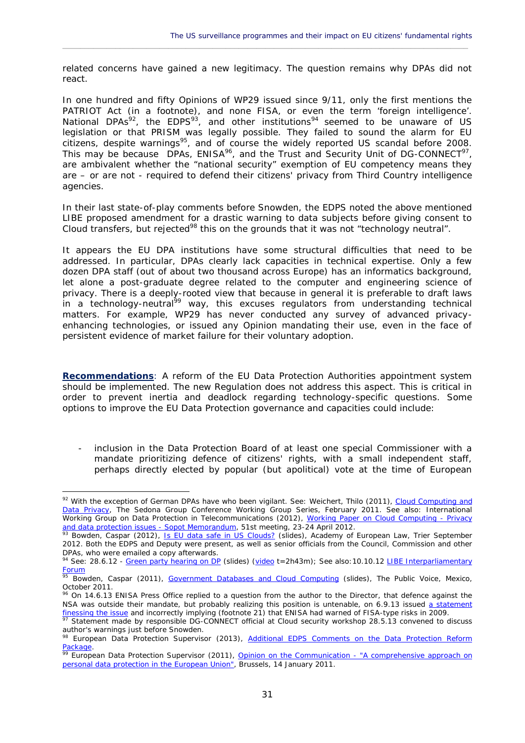related concerns have gained a new legitimacy. The question remains why DPAs did not react.

 $\_$  ,  $\_$  ,  $\_$  ,  $\_$  ,  $\_$  ,  $\_$  ,  $\_$  ,  $\_$  ,  $\_$  ,  $\_$  ,  $\_$  ,  $\_$  ,  $\_$  ,  $\_$  ,  $\_$  ,  $\_$  ,  $\_$  ,  $\_$  ,  $\_$  ,  $\_$  ,  $\_$  ,  $\_$  ,  $\_$  ,  $\_$  ,  $\_$  ,  $\_$  ,  $\_$  ,  $\_$  ,  $\_$  ,  $\_$  ,  $\_$  ,  $\_$  ,  $\_$  ,  $\_$  ,  $\_$  ,  $\_$  ,  $\_$  ,

In one hundred and fifty Opinions of WP29 issued since 9/11, only the first mentions the PATRIOT Act (in a footnote), and none FISA, or even the term 'foreign intelligence'. National DPAs<sup>92</sup>, the EDPS<sup>93</sup>, and other institutions<sup>94</sup> seemed to be unaware of US legislation or that PRISM was legally possible. They failed to sound the alarm for EU citizens, despite warnings<sup>95</sup>, and of course the widely reported US scandal before 2008. This may be because DPAs, ENISA<sup>96</sup>, and the Trust and Security Unit of DG-CONNECT<sup>97</sup>, are ambivalent whether the "national security" exemption of EU competency means they are – or are not - required to defend their citizens' privacy from Third Country intelligence agencies.

In their last state-of-play comments before Snowden, the EDPS noted the above mentioned LIBE proposed amendment for a drastic warning to data subjects before giving consent to Cloud transfers, but rejected<sup>98</sup> this on the grounds that it was not "technology neutral".

It appears the EU DPA institutions have some structural difficulties that need to be addressed. In particular, DPAs clearly lack capacities in technical expertise. Only a few dozen DPA staff (out of about two thousand across Europe) has an informatics background, let alone a post-graduate degree related to the computer and engineering science of privacy. There is a deeply-rooted view that because in general it is preferable to draft laws in a technology-neutral<sup>99</sup> way, this excuses regulators from understanding technical matters. For example, WP29 has never conducted any survey of advanced privacy enhancing technologies, or issued any Opinion mandating their use, even in the face of persistent evidence of market failure for their voluntary adoption.

**Recommendations**: A reform of the EU Data Protection Authorities appointment system should be implemented. The new Regulation does not address this aspect. This is critical in order to prevent inertia and deadlock regarding technology-specific questions. Some options to improve the EU Data Protection governance and capacities could include:

inclusion in the Data Protection Board of at least one special Commissioner with a mandate prioritizing defence of citizens' rights, with a small independent staff, perhaps directly elected by popular (but apolitical) vote at the time of European

<sup>92</sup> With the exception of German DPAs have who been vigilant. See: Weichert, Thilo (2011), Cloud Computing and Data Privacy, The Sedona Group Conference Working Group Series, February 2011. See also: International Working Group on Data Protection in Telecommunications (2012), Working Paper on Cloud Computing - Privacy and data protection issues - Sopot Memorandum, 51st meeting, 23-24 April 2012.

 $93$  Bowden, Caspar (2012), Is EU data safe in US Clouds? (slides), Academy of European Law, Trier September 2012. Both the EDPS and Deputy were present, as well as senior officials from the Council, Commission and other DPAs, who were emailed a copy afterwards.

<sup>94</sup> See: 28.6.12 - Green party hearing on DP (slides) (video t=2h43m); See also:10.10.12 LIBE Interparliamentary Forum

<sup>&</sup>lt;sup>95</sup> Bowden, Caspar (2011), Government Databases and Cloud Computing (slides), The Public Voice, Mexico, October 2011.

 $96$  On 14.6.13 ENISA Press Office replied to a question from the author to the Director, that defence against the NSA was outside their mandate, but probably realizing this position is untenable, on 6.9.13 issued a statement finessing the issue and incorrectly implying (footnote 21) that ENISA had warned of FISA-type risks in 2009.

<sup>97</sup> Statement made by responsible DG-CONNECT official at Cloud security workshop 28.5.13 convened to discuss author's warnings just before Snowden.

author 3 Marriangs Jack Scrote Entertation<br><sup>98</sup> European Data Protection Supervisor (2013), <u>Additional EDPS Comments on the Data Protection Reform</u> **Package** 

<sup>&</sup>lt;sup>99</sup> European Data Protection Supervisor (2011), **Opinion on the Communication - "A comprehensive approach on** personal data protection in the European Union", Brussels, 14 January 2011.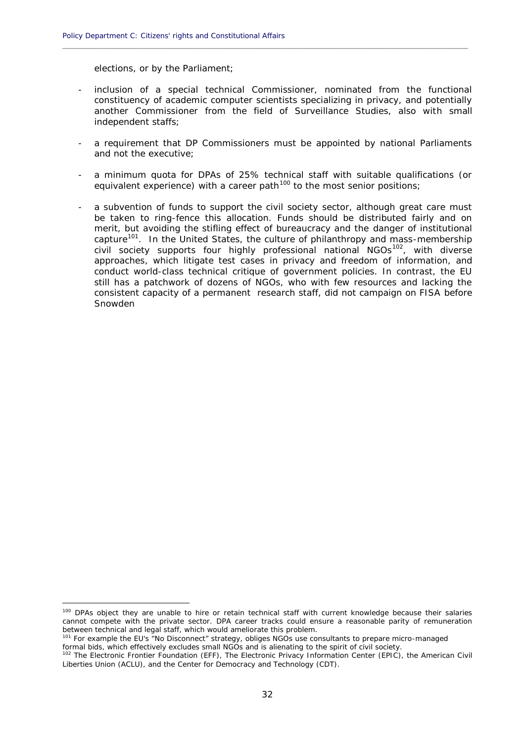elections, or by the Parliament;

inclusion of a special technical Commissioner, nominated from the functional constituency of academic computer scientists specializing in privacy, and potentially another Commissioner from the field of Surveillance Studies, also with small independent staffs;

**\_\_\_\_\_\_\_\_\_\_\_\_\_\_\_\_\_\_\_\_\_\_\_\_\_\_\_\_\_\_\_\_\_\_\_\_\_\_\_\_\_\_\_\_\_\_\_\_\_\_\_\_\_\_\_\_\_\_\_\_\_\_\_\_\_\_\_\_\_\_\_\_\_\_\_\_\_\_\_\_\_\_\_\_\_\_\_\_\_\_\_\_**

- a requirement that DP Commissioners must be appointed by national Parliaments and not the executive;
- a minimum quota for DPAs of 25% technical staff with suitable qualifications (or equivalent experience) with a career path<sup>100</sup> to the most senior positions;
- a subvention of funds to support the civil society sector, although great care must be taken to ring-fence this allocation. Funds should be distributed fairly and on merit, but avoiding the stifling effect of bureaucracy and the danger of institutional capture<sup>101</sup>. In the United States, the culture of philanthropy and mass-membership civil society supports four highly professional national NGOs<sup>102</sup>, with diverse approaches, which litigate test cases in privacy and freedom of information, and conduct world-class technical critique of government policies. In contrast, the EU still has a patchwork of dozens of NGOs, who with few resources and lacking the consistent capacity of a permanent research staff, did not campaign on FISA before Snowden

<sup>100</sup> DPAs object they are unable to hire or retain technical staff with current knowledge because their salaries cannot compete with the private sector. DPA career tracks could ensure a reasonable parity of remuneration between technical and legal staff, which would ameliorate this problem.

<sup>101</sup> For example the EU's "No Disconnect" strategy, obliges NGOs use consultants to prepare micro-managed formal bids, which effectively excludes small NGOs and is alienating to the spirit of civil society.

<sup>102</sup> The Electronic Frontier Foundation (EFF), The Electronic Privacy Information Center (EPIC), the American Civil Liberties Union (ACLU), and the Center for Democracy and Technology (CDT).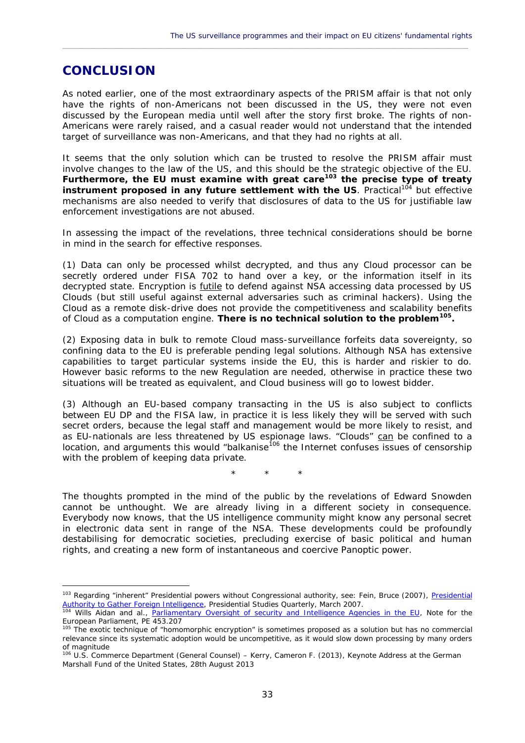### **CONCLUSION**

As noted earlier, one of the most extraordinary aspects of the PRISM affair is that not only have the rights of non-Americans not been discussed in the US, they were not even discussed by the European media until well after the story first broke. The rights of non- Americans were rarely raised, and a casual reader would not understand that the intended target of surveillance was non-Americans, and that they had no rights at all.

 $\_$  ,  $\_$  ,  $\_$  ,  $\_$  ,  $\_$  ,  $\_$  ,  $\_$  ,  $\_$  ,  $\_$  ,  $\_$  ,  $\_$  ,  $\_$  ,  $\_$  ,  $\_$  ,  $\_$  ,  $\_$  ,  $\_$  ,  $\_$  ,  $\_$  ,  $\_$  ,  $\_$  ,  $\_$  ,  $\_$  ,  $\_$  ,  $\_$  ,  $\_$  ,  $\_$  ,  $\_$  ,  $\_$  ,  $\_$  ,  $\_$  ,  $\_$  ,  $\_$  ,  $\_$  ,  $\_$  ,  $\_$  ,  $\_$  ,

It seems that the only solution which can be trusted to resolve the PRISM affair must involve changes to the law of the US, and this should be the strategic objective of the EU. **Furthermore, the EU must examine with great care<sup>103</sup> the precise type of treaty** instrument proposed in any future settlement with the US. Practical<sup>104</sup> but effective mechanisms are also needed to verify that disclosures of data to the US for justifiable law enforcement investigations are not abused.

In assessing the impact of the revelations, three technical considerations should be borne in mind in the search for effective responses.

(1) Data can only be processed whilst decrypted, and thus any Cloud processor can be secretly ordered under FISA 702 to hand over a key, or the information itself in its decrypted state. Encryption is futile to defend against NSA accessing data processed by US Clouds (but still useful against external adversaries such as criminal hackers). Using the Cloud as a remote disk-drive does not provide the competitiveness and scalability benefits of Cloud as a computation engine. **There is no technical solution to the problem<sup>105</sup> .**

(2) Exposing data in bulk to remote Cloud mass-surveillance forfeits data sovereignty, so confining data to the EU is preferable pending legal solutions. Although NSA has extensive capabilities to target particular systems inside the EU, this is harder and riskier to do. However basic reforms to the new Regulation are needed, otherwise *in practice* these two situations will be treated as equivalent, and Cloud business will go to lowest bidder.

(3) Although an EU-based company transacting in the US is also subject to conflicts between EU DP and the FISA law, in practice it is less likely they will be served with such secret orders, because the legal staff and management would be more likely to resist, and as EU-nationals are less threatened by US espionage laws. "Clouds" can be confined to a  $location,$  and arguments this would "balkanise<sup>106</sup> the Internet confuses issues of censorship with the problem of keeping data private.

 $\star$   $\star$   $\star$ 

The thoughts prompted in the mind of the public by the revelations of Edward Snowden cannot be unthought. We are already living in a different society in consequence. Everybody now knows, that the US intelligence community might know any personal secret in electronic data sent in range of the NSA. These developments could be profoundly destabilising for democratic societies, precluding exercise of basic political and human rights, and creating a new form of instantaneous and coercive Panoptic power.

<sup>103</sup> Regarding "inherent" Presidential powers without Congressional authority, see: Fein, Bruce (2007), Presidential Authority to Gather Foreign Intelligence, Presidential Studies Quarterly, March 2007.

<sup>&</sup>lt;sup>104</sup> Wills Aidan and al., <u>Parliamentary Oversight of security and Intelligence Agencies in the EU</u>, Note for the European Parliament, PE 453.207

<sup>&</sup>lt;sup>105</sup> The exotic technique of "homomorphic encryption" is sometimes proposed as a solution but has no commercial relevance since its systematic adoption would be uncompetitive, as it would slow down processing by many orders of magnitude

<sup>106</sup> U.S. Commerce Department (General Counsel) – Kerry, Cameron F. (2013), Keynote Address at the German Marshall Fund of the United States, 28th August 2013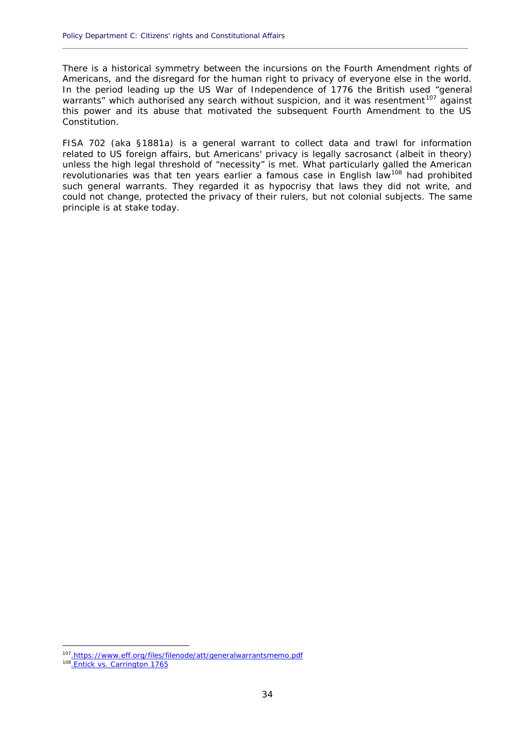There is a historical symmetry between the incursions on the Fourth Amendment rights of Americans, and the disregard for the human right to privacy of everyone else in the world. In the period leading up the US War of Independence of 1776 the British used "general warrants" which authorised any search without suspicion, and it was resentment<sup>107</sup> against this power and its abuse that motivated the subsequent Fourth Amendment to the US Constitution.

**\_\_\_\_\_\_\_\_\_\_\_\_\_\_\_\_\_\_\_\_\_\_\_\_\_\_\_\_\_\_\_\_\_\_\_\_\_\_\_\_\_\_\_\_\_\_\_\_\_\_\_\_\_\_\_\_\_\_\_\_\_\_\_\_\_\_\_\_\_\_\_\_\_\_\_\_\_\_\_\_\_\_\_\_\_\_\_\_\_\_\_\_**

FISA 702 (aka *§1881a*) is a general warrant to collect data and trawl for information related to US foreign affairs, but Americans' privacy is legally sacrosanct (albeit in theory) unless the high legal threshold of "necessity" is met. What particularly galled the American revolutionaries was that ten years earlier a famous case in English law<sup>108</sup> had prohibited such general warrants. They regarded it as hypocrisy that laws they did not write, and could not change, protected the privacy of their rulers, but not colonial subjects. The same principle is at stake today.

<sup>&</sup>lt;sup>107</sup>.https://www.eff.org/files/filenode/att/generalwarrantsmemo.pdf

<sup>&</sup>lt;sup>108</sup>. Entick vs. Carrington 1765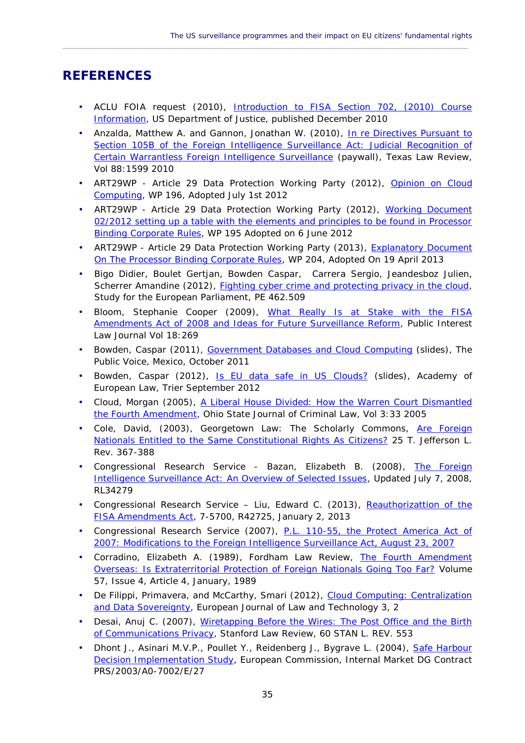### **REFERENCES**

• ACLU FOIA request (2010), Introduction to FISA Section 702, (2010) Course Information, US Department of Justice, published December 2010

 $\_$  ,  $\_$  ,  $\_$  ,  $\_$  ,  $\_$  ,  $\_$  ,  $\_$  ,  $\_$  ,  $\_$  ,  $\_$  ,  $\_$  ,  $\_$  ,  $\_$  ,  $\_$  ,  $\_$  ,  $\_$  ,  $\_$  ,  $\_$  ,  $\_$  ,  $\_$  ,  $\_$  ,  $\_$  ,  $\_$  ,  $\_$  ,  $\_$  ,  $\_$  ,  $\_$  ,  $\_$  ,  $\_$  ,  $\_$  ,  $\_$  ,  $\_$  ,  $\_$  ,  $\_$  ,  $\_$  ,  $\_$  ,  $\_$  ,

- Anzalda, Matthew A. and Gannon, Jonathan W. (2010), In re Directives Pursuant to Section 105B of the Foreign Intelligence Surveillance Act: Judicial Recognition of Certain Warrantless Foreign Intelligence Surveillance (paywall), Texas Law Review, Vol 88:1599 2010
- ART29WP Article 29 Data Protection Working Party (2012), Opinion on Cloud Computing, WP 196, Adopted July 1st 2012
- ART29WP -Article 29 Data Protection Working Party (2012), Working Document 02/2012 setting up a table with the elements and principles to be found in Processor Binding Corporate Rules, WP 195 Adopted on 6 June 2012
- ART29WP Article 29 Data Protection Working Party (2013), Explanatory Document On The Processor Binding Corporate Rules, WP 204, Adopted On 19 April 2013
- Bigo Didier, Boulet Gertjan, Bowden Caspar, Carrera Sergio, Jeandesboz Julien, Scherrer Amandine (2012), Fighting cyber crime and protecting privacy in the cloud, Study for the European Parliament, PE 462.509
- Bloom, Stephanie Cooper (2009), What Really Is at Stake with the FISA Amendments Act of 2008 and Ideas for Future Surveillance Reform, Public Interest Law Journal Vol 18:269
- Bowden, Caspar (2011), Government Databases and Cloud Computing (slides), The Public Voice, Mexico, October 2011
- Bowden, Caspar (2012), Is EU data safe in US Clouds? (slides), Academy of European Law, Trier September 2012
- Cloud, Morgan (2005), A Liberal House Divided: How the Warren Court Dismantled the Fourth Amendment, Ohio State Journal of Criminal Law, Vol 3:33 2005
- Cole, David, (2003), Georgetown Law: The Scholarly Commons, Are Foreign Nationals Entitled to the Same Constitutional Rights As Citizens? 25 T. Jefferson L. Rev. 367-388
- Congressional Research Service Bazan, Elizabeth B. (2008), The Foreign Intelligence Surveillance Act: An Overview of Selected Issues, Updated July 7, 2008, RL34279
- Congressional Research Service Liu, Edward C. (2013), Reauthorizattion of the FISA Amendments Act, 7-5700, R42725, January 2, 2013
- Congressional Research Service (2007), **P.L. 110-55**, the Protect America Act of 2007: Modifications to the Foreign Intelligence Surveillance Act, August 23, 2007
- Corradino, Elizabeth A. (1989), Fordham Law Review, The Fourth Amendment Overseas: Is Extraterritorial Protection of Foreign Nationals Going Too Far? Volume 57, Issue 4, Article 4, January, 1989
- De Filippi, Primavera, and McCarthy, Smari (2012), Cloud Computing: Centralization and Data Sovereignty, European Journal of Law and Technology 3, 2
- Desai, Anuj C. (2007), Wiretapping Before the Wires: The Post Office and the Birth of Communications Privacy, Stanford Law Review, 60 STAN L. REV. 553
- Dhont J., Asinari M.V.P., Poullet Y., Reidenberg J., Bygrave L. (2004), Safe Harbour Decision Implementation Study, European Commission, Internal Market DG Contract PRS/2003/A0-7002/E/27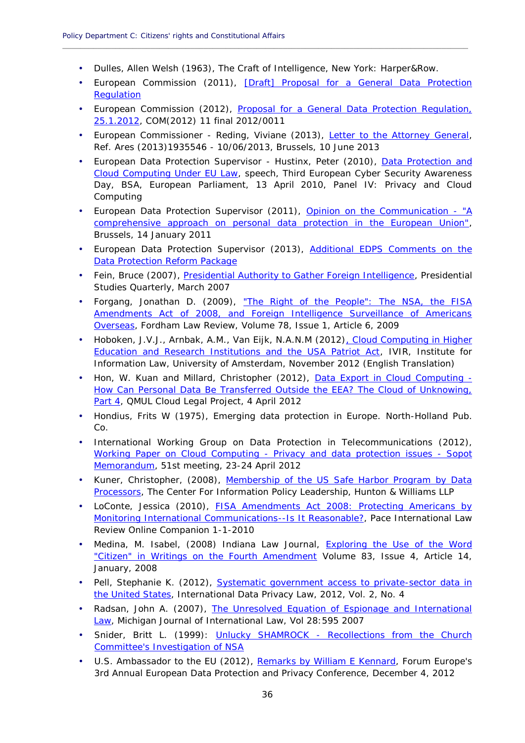- Dulles, Allen Welsh (1963), The Craft of Intelligence, New York: Harper&Row.
- European Commission (2011), [Draft] Proposal for a General Data Protection Regulation

**\_\_\_\_\_\_\_\_\_\_\_\_\_\_\_\_\_\_\_\_\_\_\_\_\_\_\_\_\_\_\_\_\_\_\_\_\_\_\_\_\_\_\_\_\_\_\_\_\_\_\_\_\_\_\_\_\_\_\_\_\_\_\_\_\_\_\_\_\_\_\_\_\_\_\_\_\_\_\_\_\_\_\_\_\_\_\_\_\_\_\_\_**

- European Commission (2012), Proposal for a General Data Protection Regulation, 25.1.2012, COM(2012) 11 final 2012/0011
- European Commissioner Reding, Viviane (2013), Letter to the Attorney General, Ref. Ares (2013)1935546 - 10/06/2013, Brussels, 10 June 2013
- European Data Protection Supervisor Hustinx, Peter (2010), Data Protection and Cloud Computing Under EU Law, speech, Third European Cyber Security Awareness Day, BSA, European Parliament, 13 April 2010, Panel IV: Privacy and Cloud Computing
- European Data Protection Supervisor (2011), Opinion on the Communication "A comprehensive approach on personal data protection in the European Union", Brussels, 14 January 2011
- European Data Protection Supervisor (2013), Additional EDPS Comments on the Data Protection Reform Package
- Fein, Bruce (2007), Presidential Authority to Gather Foreign Intelligence, Presidential Studies Quarterly, March 2007
- Forgang, Jonathan D. (2009), "The Right of the People": The NSA, the FISA Amendments Act of 2008, and Foreign Intelligence Surveillance of Americans Overseas, Fordham Law Review, Volume 78, Issue 1, Article 6, 2009
- Hoboken, J.V.J., Arnbak, A.M., Van Eijk, N.A.N.M (2012), Cloud Computing in Higher Education and Research Institutions and the USA Patriot Act, IVIR, Institute for Information Law, University of Amsterdam, November 2012 (English Translation)
- Hon, W. Kuan and Millard, Christopher (2012), Data Export in Cloud Computing -How Can Personal Data Be Transferred Outside the EEA? The Cloud of Unknowing, Part 4, QMUL Cloud Legal Project, 4 April 2012
- Hondius, Frits W (1975), Emerging data protection in Europe. North-Holland Pub. Co.
- International Working Group on Data Protection in Telecommunications (2012), Working Paper on Cloud Computing - Privacy and data protection issues - Sopot Memorandum, 51st meeting, 23-24 April 2012
- Kuner, Christopher, (2008), Membership of the US Safe Harbor Program by Data Processors, The Center For Information Policy Leadership, Hunton & Williams LLP
- LoConte, Jessica (2010), FISA Amendments Act 2008: Protecting Americans by Monitoring International Communications--Is It Reasonable?, Pace International Law Review Online Companion 1-1-2010
- Medina, M. Isabel, (2008) Indiana Law Journal, **Exploring the Use of the Word** "Citizen" in Writings on the Fourth Amendment Volume 83, Issue 4, Article 14, January, 2008
- Pell, Stephanie K. (2012), Systematic government access to private-sector data in the United States, International Data Privacy Law, 2012, Vol. 2, No. 4
- Radsan, John A. (2007), The Unresolved Equation of Espionage and International Law, Michigan Journal of International Law, Vol 28:595 2007
- Snider, Britt L. (1999): Unlucky SHAMROCK Recollections from the Church Committee's Investigation of NSA
- U.S. Ambassador to the EU (2012), Remarks by William E Kennard, Forum Europe's 3rd Annual European Data Protection and Privacy Conference, December 4, 2012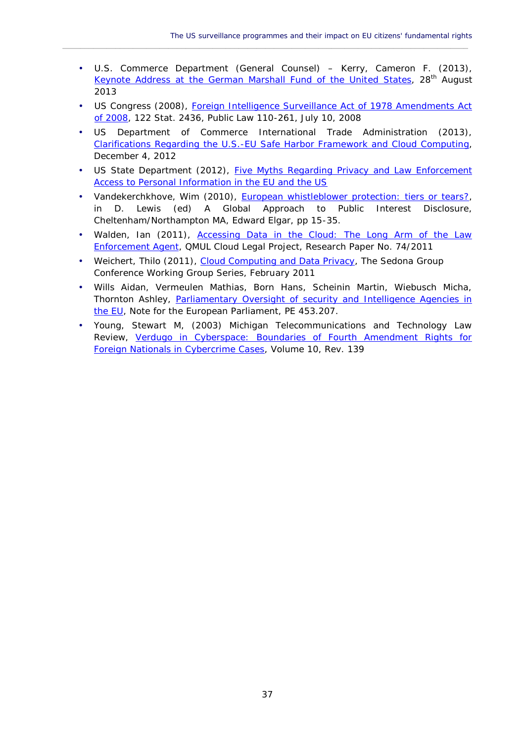U.S. Commerce Department (General Counsel) – Kerry, Cameron F. (2013), Keynote Address at the German Marshall Fund of the United States, 28<sup>th</sup> August 2013

 $\_$  ,  $\_$  ,  $\_$  ,  $\_$  ,  $\_$  ,  $\_$  ,  $\_$  ,  $\_$  ,  $\_$  ,  $\_$  ,  $\_$  ,  $\_$  ,  $\_$  ,  $\_$  ,  $\_$  ,  $\_$  ,  $\_$  ,  $\_$  ,  $\_$  ,  $\_$  ,  $\_$  ,  $\_$  ,  $\_$  ,  $\_$  ,  $\_$  ,  $\_$  ,  $\_$  ,  $\_$  ,  $\_$  ,  $\_$  ,  $\_$  ,  $\_$  ,  $\_$  ,  $\_$  ,  $\_$  ,  $\_$  ,  $\_$  ,

- US Congress (2008), Foreign Intelligence Surveillance Act of 1978 Amendments Act of 2008, 122 Stat. 2436, Public Law 110-261, July 10, 2008
- US Department of Commerce International Trade Administration (2013), Clarifications Regarding the U.S.-EU Safe Harbor Framework and Cloud Computing, December 4, 2012
- US State Department (2012), Five Myths Regarding Privacy and Law Enforcement Access to Personal Information in the EU and the US
- Vandekerchkhove, Wim (2010), European whistleblower protection: tiers or tears?, in D. Lewis (ed) A Global Approach to Public Interest Disclosure, Cheltenham/Northampton MA, Edward Elgar, pp 15-35.
- Walden, Ian (2011), Accessing Data in the Cloud: The Long Arm of the Law Enforcement Agent, QMUL Cloud Legal Project, Research Paper No. 74/2011
- Weichert, Thilo (2011), Cloud Computing and Data Privacy, The Sedona Group Conference Working Group Series, February 2011
- Wills Aidan, Vermeulen Mathias, Born Hans, Scheinin Martin, Wiebusch Micha, Thornton Ashley, Parliamentary Oversight of security and Intelligence Agencies in the EU, Note for the European Parliament, PE 453.207.
- Young, Stewart M, (2003) Michigan Telecommunications and Technology Law Review, Verdugo in Cyberspace: Boundaries of Fourth Amendment Rights for Foreign Nationals in Cybercrime Cases, Volume 10, Rev. 139